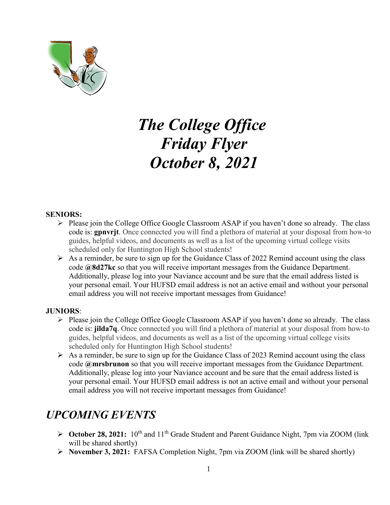

# *The College Office Friday Flyer October 8, 2021*

#### **SENIORS:**

- $\triangleright$  Please join the College Office Google Classroom ASAP if you haven't done so already. The class code is: **gpnvrjt**. Once connected you will find a plethora of material at your disposal from how-to guides, helpful videos, and documents as well as a list of the upcoming virtual college visits scheduled only for Huntington High School students!
- $\triangleright$  As a reminder, be sure to sign up for the Guidance Class of 2022 Remind account using the class code **@8d27kc** so that you will receive important messages from the Guidance Department. Additionally, please log into your Naviance account and be sure that the email address listed is your personal email. Your HUFSD email address is not an active email and without your personal email address you will not receive important messages from Guidance!

#### **JUNIORS**:

- $\triangleright$  Please join the College Office Google Classroom ASAP if you haven't done so already. The class code is: **jilda7q**. Once connected you will find a plethora of material at your disposal from how-to guides, helpful videos, and documents as well as a list of the upcoming virtual college visits scheduled only for Huntington High School students!
- $\triangleright$  As a reminder, be sure to sign up for the Guidance Class of 2023 Remind account using the class code **@mrsbrunon** so that you will receive important messages from the Guidance Department. Additionally, please log into your Naviance account and be sure that the email address listed is your personal email. Your HUFSD email address is not an active email and without your personal email address you will not receive important messages from Guidance!

# *UPCOMING EVENTS*

- **► October 28, 2021:** 10<sup>th</sup> and 11<sup>th</sup> Grade Student and Parent Guidance Night, 7pm via ZOOM (link will be shared shortly)
- **November 3, 2021:** FAFSA Completion Night, 7pm via ZOOM (link will be shared shortly)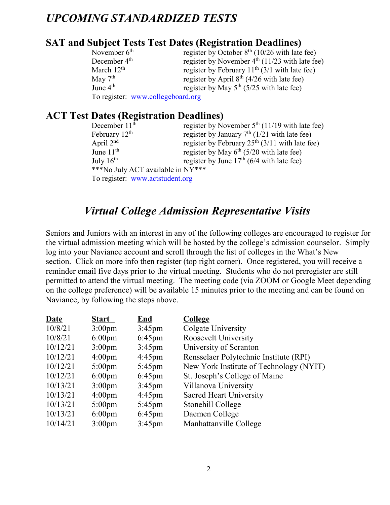# *UPCOMING STANDARDIZED TESTS*

# **SAT and Subject Tests Test Dates (Registration Deadlines)**

| November $6th$                    | register by October $8th$ (10/26 with late fee)  |
|-----------------------------------|--------------------------------------------------|
| December 4 <sup>th</sup>          | register by November $4th$ (11/23 with late fee) |
| March $12th$                      | register by February $11th$ (3/1 with late fee)  |
| May $7th$                         | register by April $8th$ (4/26 with late fee)     |
| June $4^{\text{th}}$              | register by May $5^{th}$ (5/25 with late fee)    |
| To register: www.collegeboard.org |                                                  |

# **ACT Test Dates (Registration Deadlines)**

| December $11th$                   | register by November $5th$ (11/19 with late fee) |
|-----------------------------------|--------------------------------------------------|
| February $12th$                   | register by January $7th$ (1/21 with late fee)   |
| April $2nd$                       | register by February $25th$ (3/11 with late fee) |
| June $11th$                       | register by May $6th$ (5/20 with late fee)       |
| July $16^{\text{th}}$             | register by June $17th$ (6/4 with late fee)      |
| ***No July ACT available in NY*** |                                                  |
| To register: www.actstudent.org   |                                                  |

# *Virtual College Admission Representative Visits*

Seniors and Juniors with an interest in any of the following colleges are encouraged to register for the virtual admission meeting which will be hosted by the college's admission counselor. Simply log into your Naviance account and scroll through the list of colleges in the What's New section. Click on more info then register (top right corner). Once registered, you will receive a reminder email five days prior to the virtual meeting. Students who do not preregister are still permitted to attend the virtual meeting. The meeting code (via ZOOM or Google Meet depending on the college preference) will be available 15 minutes prior to the meeting and can be found on Naviance, by following the steps above.

| <b>Date</b> | <b>Start</b>       | <b>End</b>       | College                                 |
|-------------|--------------------|------------------|-----------------------------------------|
| 10/8/21     | $3:00 \text{pm}$   | $3:45$ pm        | Colgate University                      |
| 10/8/21     | $6:00 \text{pm}$   | $6:45$ pm        | Roosevelt University                    |
| 10/12/21    | $3:00 \text{pm}$   | $3:45$ pm        | University of Scranton                  |
| 10/12/21    | $4:00 \text{pm}$   | $4:45 \text{pm}$ | Rensselaer Polytechnic Institute (RPI)  |
| 10/12/21    | $5:00 \text{pm}$   | $5:45$ pm        | New York Institute of Technology (NYIT) |
| 10/12/21    | $6:00 \text{pm}$   | $6:45$ pm        | St. Joseph's College of Maine           |
| 10/13/21    | $3:00 \text{pm}$   | $3:45 \text{pm}$ | Villanova University                    |
| 10/13/21    | $4:00 \text{pm}$   | $4:45 \text{pm}$ | Sacred Heart University                 |
| 10/13/21    | $5:00 \text{pm}$   | $5:45 \text{pm}$ | Stonehill College                       |
| 10/13/21    | $6:00 \text{pm}$   | $6:45$ pm        | Daemen College                          |
| 10/14/21    | 3:00 <sub>pm</sub> | $3:45$ pm        | Manhattanville College                  |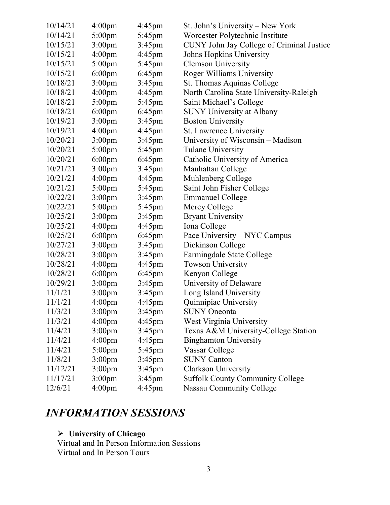| 10/14/21 | 4:00 <sub>pm</sub> | $4:45$ pm        | St. John's University - New York          |
|----------|--------------------|------------------|-------------------------------------------|
| 10/14/21 | $5:00 \text{pm}$   | 5:45pm           | Worcester Polytechnic Institute           |
| 10/15/21 | 3:00 <sub>pm</sub> | $3:45$ pm        | CUNY John Jay College of Criminal Justice |
| 10/15/21 | 4:00 <sub>pm</sub> | $4:45$ pm        | Johns Hopkins University                  |
| 10/15/21 | $5:00$ pm          | 5:45pm           | <b>Clemson University</b>                 |
| 10/15/21 | $6:00$ pm          | $6:45$ pm        | Roger Williams University                 |
| 10/18/21 | 3:00 <sub>pm</sub> | $3:45$ pm        | St. Thomas Aquinas College                |
| 10/18/21 | 4:00 <sub>pm</sub> | $4:45$ pm        | North Carolina State University-Raleigh   |
| 10/18/21 | $5:00$ pm          | 5:45pm           | Saint Michael's College                   |
| 10/18/21 | $6:00 \text{pm}$   | $6:45$ pm        | <b>SUNY University at Albany</b>          |
| 10/19/21 | 3:00 <sub>pm</sub> | $3:45$ pm        | <b>Boston University</b>                  |
| 10/19/21 | 4:00 <sub>pm</sub> | $4:45$ pm        | St. Lawrence University                   |
| 10/20/21 | 3:00 <sub>pm</sub> | $3:45$ pm        | University of Wisconsin – Madison         |
| 10/20/21 | $5:00$ pm          | $5:45$ pm        | <b>Tulane University</b>                  |
| 10/20/21 | $6:00$ pm          | $6:45$ pm        | Catholic University of America            |
| 10/21/21 | 3:00 <sub>pm</sub> | $3:45$ pm        | Manhattan College                         |
| 10/21/21 | 4:00 <sub>pm</sub> | $4:45$ pm        | Muhlenberg College                        |
| 10/21/21 | $5:00$ pm          | $5:45 \text{pm}$ | Saint John Fisher College                 |
| 10/22/21 | 3:00 <sub>pm</sub> | $3:45$ pm        | <b>Emmanuel College</b>                   |
| 10/22/21 | $5:00 \text{pm}$   | $5:45$ pm        | Mercy College                             |
| 10/25/21 | 3:00 <sub>pm</sub> | $3:45$ pm        | <b>Bryant University</b>                  |
| 10/25/21 | 4:00 <sub>pm</sub> | $4:45$ pm        | Iona College                              |
| 10/25/21 | $6:00$ pm          | $6:45$ pm        | Pace University – NYC Campus              |
| 10/27/21 | 3:00 <sub>pm</sub> | $3:45$ pm        | Dickinson College                         |
| 10/28/21 | 3:00 <sub>pm</sub> | $3:45$ pm        | Farmingdale State College                 |
| 10/28/21 | 4:00 <sub>pm</sub> | $4:45 \text{pm}$ | <b>Towson University</b>                  |
| 10/28/21 | $6:00$ pm          | $6:45$ pm        | Kenyon College                            |
| 10/29/21 | 3:00 <sub>pm</sub> | $3:45$ pm        | University of Delaware                    |
| 11/1/21  | $3:00$ pm          | $3:45$ pm        | Long Island University                    |
| 11/1/21  | 4:00 <sub>pm</sub> | $4:45$ pm        | Quinnipiac University                     |
| 11/3/21  | 3:00 <sub>pm</sub> | $3:45$ pm        | <b>SUNY Oneonta</b>                       |
| 11/3/21  | 4:00 <sub>pm</sub> | 4:45pm           | West Virginia University                  |
| 11/4/21  | 3:00 <sub>pm</sub> | $3:45$ pm        | Texas A&M University-College Station      |
| 11/4/21  | 4:00 <sub>pm</sub> | $4:45$ pm        | <b>Binghamton University</b>              |
| 11/4/21  | $5:00$ pm          | 5:45pm           | Vassar College                            |
| 11/8/21  | 3:00 <sub>pm</sub> | $3:45$ pm        | <b>SUNY Canton</b>                        |
| 11/12/21 | 3:00 <sub>pm</sub> | $3:45$ pm        | <b>Clarkson University</b>                |
| 11/17/21 | 3:00 <sub>pm</sub> | $3:45$ pm        | <b>Suffolk County Community College</b>   |
| 12/6/21  | 4:00 <sub>pm</sub> | $4:45$ pm        | Nassau Community College                  |

# *INFORMATION SESSIONS*

#### **University of Chicago**

Virtual and In Person Information Sessions Virtual and In Person Tours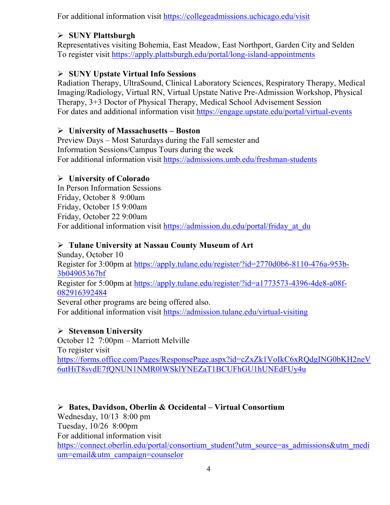For additional information visit<https://collegeadmissions.uchicago.edu/visit>

#### **SUNY Plattsburgh**

Representatives visiting Bohemia, East Meadow, East Northport, Garden City and Selden To register visit<https://apply.plattsburgh.edu/portal/long-island-appointments>

### **SUNY Upstate Virtual Info Sessions**

Radiation Therapy, UltraSound, Clinical Laboratory Sciences, Respiratory Therapy, Medical Imaging/Radiology, Virtual RN, Virtual Upstate Native Pre-Admission Workshop, Physical Therapy, 3+3 Doctor of Physical Therapy, Medical School Advisement Session For dates and additional information visit<https://engage.upstate.edu/portal/virtual-events>

#### **University of Massachusetts – Boston**

Preview Days – Most Saturdays during the Fall semester and Information Sessions/Campus Tours during the week For additional information visit<https://admissions.umb.edu/freshman-students>

### **University of Colorado**

In Person Information Sessions Friday, October 8 9:00am Friday, October 15 9:00am Friday, October 22 9:00am For additional information visit https://admission.du.edu/portal/friday at du

### **Tulane University at Nassau County Museum of Art**

Sunday, October 10 Register for 3:00pm at [https://apply.tulane.edu/register/?id=2770d0b6-8110-476a-953b-](https://apply.tulane.edu/register/?id=2770d0b6-8110-476a-953b-3b04905367bf)[3b04905367bf](https://apply.tulane.edu/register/?id=2770d0b6-8110-476a-953b-3b04905367bf) Register for 5:00pm at [https://apply.tulane.edu/register/?id=a1773573-4396-4de8-a08f-](https://apply.tulane.edu/register/?id=a1773573-4396-4de8-a08f-082916392484)[082916392484](https://apply.tulane.edu/register/?id=a1773573-4396-4de8-a08f-082916392484)

Several other programs are being offered also. For additional information visit<https://admission.tulane.edu/virtual-visiting>

#### **Stevenson University**

October 12 7:00pm – Marriott Melville To register visit [https://forms.office.com/Pages/ResponsePage.aspx?id=cZxZk1VoIkC6xRQdgING0bKH2neV](https://forms.office.com/Pages/ResponsePage.aspx?id=cZxZk1VoIkC6xRQdgING0bKH2neV6utHiT8svdE7fQNUN1NMR0lWSklYNEZaT1BCUFhGU1hUNEdFUy4u) [6utHiT8svdE7fQNUN1NMR0lWSklYNEZaT1BCUFhGU1hUNEdFUy4u](https://forms.office.com/Pages/ResponsePage.aspx?id=cZxZk1VoIkC6xRQdgING0bKH2neV6utHiT8svdE7fQNUN1NMR0lWSklYNEZaT1BCUFhGU1hUNEdFUy4u)

 **Bates, Davidson, Oberlin & Occidental – Virtual Consortium** Wednesday, 10/13 8:00 pm Tuesday, 10/26 8:00pm For additional information visit [https://connect.oberlin.edu/portal/consortium\\_student?utm\\_source=as\\_admissions&utm\\_medi](https://connect.oberlin.edu/portal/consortium_student?utm_source=as_admissions&utm_medium=email&utm_campaign=counselor) [um=email&utm\\_campaign=counselor](https://connect.oberlin.edu/portal/consortium_student?utm_source=as_admissions&utm_medium=email&utm_campaign=counselor)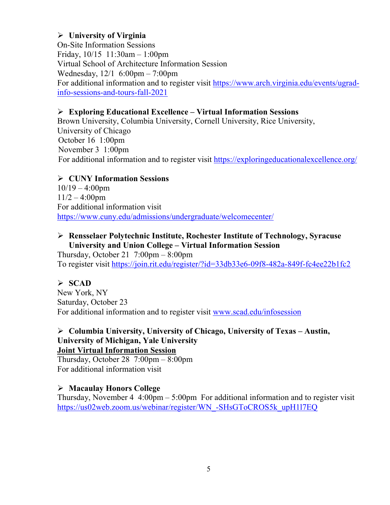#### **University of Virginia**

On-Site Information Sessions Friday, 10/15 11:30am – 1:00pm Virtual School of Architecture Information Session Wednesday, 12/1 6:00pm – 7:00pm For additional information and to register visit [https://www.arch.virginia.edu/events/ugrad](https://www.arch.virginia.edu/events/ugrad-info-sessions-and-tours-fall-2021)[info-sessions-and-tours-fall-2021](https://www.arch.virginia.edu/events/ugrad-info-sessions-and-tours-fall-2021)

#### **Exploring Educational Excellence – Virtual Information Sessions**

Brown University, Columbia University, Cornell University, Rice University, University of Chicago October 16 1:00pm November 3 1:00pm For additional information and to register visit<https://exploringeducationalexcellence.org/>

#### **CUNY Information Sessions**

 $10/19 - 4:00$ pm  $11/2 - 4:00$ pm For additional information visit <https://www.cuny.edu/admissions/undergraduate/welcomecenter/>

#### **Rensselaer Polytechnic Institute, Rochester Institute of Technology, Syracuse University and Union College – Virtual Information Session**

Thursday, October 21  $7:00 \text{pm} - 8:00 \text{pm}$ To register visit<https://join.rit.edu/register/?id=33db33e6-09f8-482a-849f-fc4ee22b1fc2>

#### **SCAD**

New York, NY Saturday, October 23 For additional information and to register visit [www.scad.edu/infosession](http://www.scad.edu/infosession)

#### **Columbia University, University of Chicago, University of Texas – Austin, University of Michigan, Yale University Joint Virtual Information Session**

Thursday, October 28  $7:00 \text{pm} - 8:00 \text{pm}$ For additional information visit

#### **Macaulay Honors College**

Thursday, November 4  $4:00 \text{pm} - 5:00 \text{pm}$  For additional information and to register visit [https://us02web.zoom.us/webinar/register/WN\\_-SHsGToCROS5k\\_upH1l7EQ](https://us02web.zoom.us/webinar/register/WN_-SHsGToCROS5k_upH1l7EQ)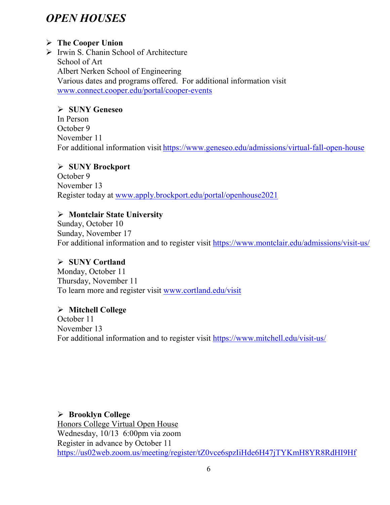# *OPEN HOUSES*

#### **The Cooper Union**

 $\triangleright$  Irwin S. Chanin School of Architecture School of Art Albert Nerken School of Engineering Various dates and programs offered. For additional information visit [www.connect.cooper.edu/portal/cooper-events](http://www.connect.cooper.edu/portal/cooper-events)

#### **SUNY Geneseo**

In Person October 9 November 11 For additional information visit <https://www.geneseo.edu/admissions/virtual-fall-open-house>

#### **SUNY Brockport**

October 9 November 13 Register today at [www.apply.brockport.edu/portal/openhouse2021](http://www.apply.brockport.edu/portal/openhouse2021)

### **Montclair State University**

Sunday, October 10 Sunday, November 17 For additional information and to register visit<https://www.montclair.edu/admissions/visit-us/>

# **SUNY Cortland**

Monday, October 11 Thursday, November 11 To learn more and register visit [www.cortland.edu/visit](http://www.cortland.edu/visit)

#### **Mitchell College**

October 11 November 13 For additional information and to register visit <https://www.mitchell.edu/visit-us/>

 **Brooklyn College** Honors College Virtual Open House Wednesday, 10/13 6:00pm via zoom Register in advance by October 11 <https://us02web.zoom.us/meeting/register/tZ0vce6spzIiHde6H47jTYKmH8YR8RdHI9Hf>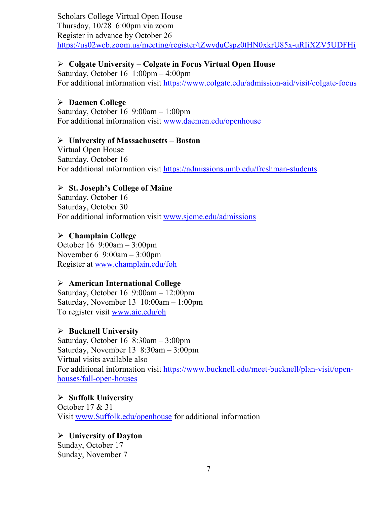Scholars College Virtual Open House Thursday, 10/28 6:00pm via zoom Register in advance by October 26 <https://us02web.zoom.us/meeting/register/tZwvduCspz0tHN0xkrU85x-uRIiXZV5UDFHi>

#### **Colgate University – Colgate in Focus Virtual Open House**

Saturday, October 16 1:00pm – 4:00pm For additional information visit<https://www.colgate.edu/admission-aid/visit/colgate-focus>

#### **Daemen College**

Saturday, October 16 9:00am – 1:00pm For additional information visit [www.daemen.edu/openhouse](http://www.daemen.edu/openhouse)

#### **University of Massachusetts – Boston**

Virtual Open House Saturday, October 16 For additional information visit<https://admissions.umb.edu/freshman-students>

#### **St. Joseph's College of Maine**

Saturday, October 16 Saturday, October 30 For additional information visit [www.sjcme.edu/admissions](http://www.sjcme.edu/admissions) 

#### **Champlain College**

October 16 9:00am – 3:00pm November 6 9:00am – 3:00pm Register at [www.champlain.edu/foh](http://www.champlain.edu/foh)

#### **American International College**

Saturday, October 16 9:00am – 12:00pm Saturday, November 13 10:00am – 1:00pm To register visit [www.aic.edu/oh](http://www.aic.edu/oh)

#### **Bucknell University**

Saturday, October 16 8:30am – 3:00pm Saturday, November 13 8:30am – 3:00pm Virtual visits available also For additional information visit [https://www.bucknell.edu/meet-bucknell/plan-visit/open](https://www.bucknell.edu/meet-bucknell/plan-visit/open-houses/fall-open-houses)[houses/fall-open-houses](https://www.bucknell.edu/meet-bucknell/plan-visit/open-houses/fall-open-houses)

 **Suffolk University** October 17 & 31 Visit [www.Suffolk.edu/openhouse](http://www.suffolk.edu/openhouse) for additional information

#### **University of Dayton**

Sunday, October 17 Sunday, November 7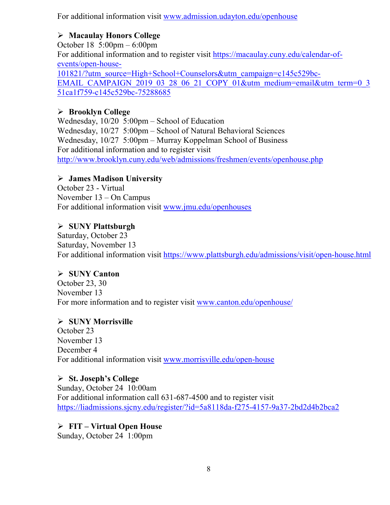For additional information visit [www.admission.udayton.edu/openhouse](http://www.admission.udayton.edu/openhouse)

### **Macaulay Honors College**

October 18 5:00pm – 6:00pm For additional information and to register visit [https://macaulay.cuny.edu/calendar-of](https://macaulay.cuny.edu/calendar-of-events/open-house-101821/?utm_source=High+School+Counselors&utm_campaign=c145c529bc-EMAIL_CAMPAIGN_2019_03_28_06_21_COPY_01&utm_medium=email&utm_term=0_351ca1f759-c145c529bc-75288685)[events/open-house-](https://macaulay.cuny.edu/calendar-of-events/open-house-101821/?utm_source=High+School+Counselors&utm_campaign=c145c529bc-EMAIL_CAMPAIGN_2019_03_28_06_21_COPY_01&utm_medium=email&utm_term=0_351ca1f759-c145c529bc-75288685)[101821/?utm\\_source=High+School+Counselors&utm\\_campaign=c145c529bc-](https://macaulay.cuny.edu/calendar-of-events/open-house-101821/?utm_source=High+School+Counselors&utm_campaign=c145c529bc-EMAIL_CAMPAIGN_2019_03_28_06_21_COPY_01&utm_medium=email&utm_term=0_351ca1f759-c145c529bc-75288685)[EMAIL\\_CAMPAIGN\\_2019\\_03\\_28\\_06\\_21\\_COPY\\_01&utm\\_medium=email&utm\\_term=0\\_3](https://macaulay.cuny.edu/calendar-of-events/open-house-101821/?utm_source=High+School+Counselors&utm_campaign=c145c529bc-EMAIL_CAMPAIGN_2019_03_28_06_21_COPY_01&utm_medium=email&utm_term=0_351ca1f759-c145c529bc-75288685) [51ca1f759-c145c529bc-75288685](https://macaulay.cuny.edu/calendar-of-events/open-house-101821/?utm_source=High+School+Counselors&utm_campaign=c145c529bc-EMAIL_CAMPAIGN_2019_03_28_06_21_COPY_01&utm_medium=email&utm_term=0_351ca1f759-c145c529bc-75288685)

# **Brooklyn College**

Wednesday, 10/20 5:00pm – School of Education Wednesday, 10/27 5:00pm – School of Natural Behavioral Sciences Wednesday, 10/27 5:00pm – Murray Koppelman School of Business For additional information and to register visit <http://www.brooklyn.cuny.edu/web/admissions/freshmen/events/openhouse.php>

### **James Madison University**

October 23 - Virtual November 13 – On Campus For additional information visit [www.jmu.edu/openhouses](http://www.jmu.edu/openhouses)

# **SUNY Plattsburgh**

Saturday, October 23 Saturday, November 13 For additional information visit<https://www.plattsburgh.edu/admissions/visit/open-house.html>

#### **SUNY Canton**

October 23, 30 November 13 For more information and to register visit [www.canton.edu/openhouse/](http://www.canton.edu/openhouse/)

#### **SUNY Morrisville**

October 23 November 13 December 4 For additional information visit [www.morrisville.edu/open-house](http://www.morrisville.edu/open-house)

 **St. Joseph's College** Sunday, October 24 10:00am For additional information call 631-687-4500 and to register visit <https://liadmissions.sjcny.edu/register/?id=5a8118da-f275-4157-9a37-2bd2d4b2bca2>

# **FIT – Virtual Open House**

Sunday, October 24 1:00pm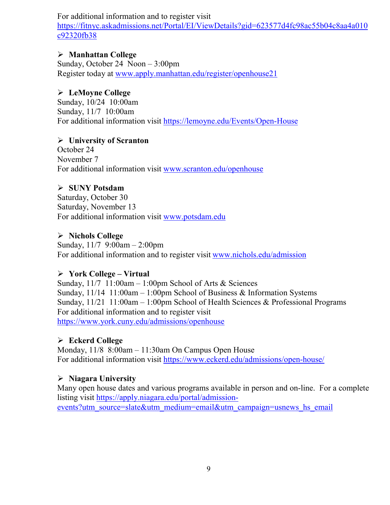#### For additional information and to register visit

[https://fitnyc.askadmissions.net/Portal/EI/ViewDetails?gid=623577d4fc98ac55b04c8aa4a010](https://fitnyc.askadmissions.net/Portal/EI/ViewDetails?gid=623577d4fc98ac55b04c8aa4a010c92320fb38) [c92320fb38](https://fitnyc.askadmissions.net/Portal/EI/ViewDetails?gid=623577d4fc98ac55b04c8aa4a010c92320fb38)

#### **Manhattan College**

Sunday, October 24 Noon – 3:00pm Register today at [www.apply.manhattan.edu/register/openhouse21](http://www.apply.manhattan.edu/register/openhouse21) 

#### **LeMoyne College**

Sunday, 10/24 10:00am Sunday, 11/7 10:00am For additional information visit<https://lemoyne.edu/Events/Open-House>

#### **University of Scranton**

October 24 November 7 For additional information visit [www.scranton.edu/openhouse](http://www.scranton.edu/openhouse)

#### **SUNY Potsdam**

Saturday, October 30 Saturday, November 13 For additional information visit [www.potsdam.edu](http://www.potsdam.edu/)

#### **Nichols College**

Sunday, 11/7 9:00am – 2:00pm For additional information and to register visit [www.nichols.edu/admission](http://www.nichols.edu/admission)

#### **York College – Virtual**

Sunday, 11/7 11:00am – 1:00pm School of Arts & Sciences Sunday, 11/14 11:00am – 1:00pm School of Business & Information Systems Sunday, 11/21 11:00am – 1:00pm School of Health Sciences & Professional Programs For additional information and to register visit <https://www.york.cuny.edu/admissions/openhouse>

#### **Eckerd College**

Monday, 11/8 8:00am – 11:30am On Campus Open House For additional information visit<https://www.eckerd.edu/admissions/open-house/>

#### **Niagara University**

Many open house dates and various programs available in person and on-line. For a complete listing visit [https://apply.niagara.edu/portal/admission](https://apply.niagara.edu/portal/admission-events?utm_source=slate&utm_medium=email&utm_campaign=usnews_hs_email)[events?utm\\_source=slate&utm\\_medium=email&utm\\_campaign=usnews\\_hs\\_email](https://apply.niagara.edu/portal/admission-events?utm_source=slate&utm_medium=email&utm_campaign=usnews_hs_email)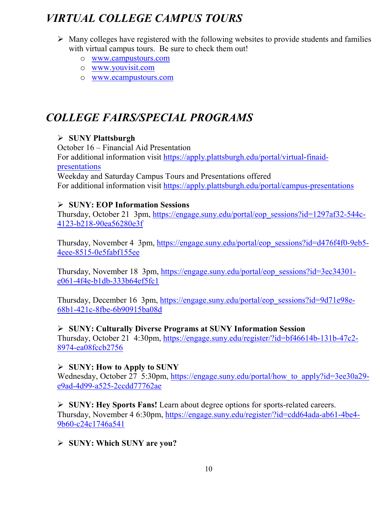# *VIRTUAL COLLEGE CAMPUS TOURS*

- $\triangleright$  Many colleges have registered with the following websites to provide students and families with virtual campus tours. Be sure to check them out!
	- o [www.campustours.com](http://www.campustours.com/)
	- o [www.youvisit.com](http://www.youvisit.com/)
	- o [www.ecampustours.com](http://www.ecampustours.com/)

# *COLLEGE FAIRS/SPECIAL PROGRAMS*

### **SUNY Plattsburgh**

October 16 – Financial Aid Presentation For additional information visit [https://apply.plattsburgh.edu/portal/virtual-finaid](https://apply.plattsburgh.edu/portal/virtual-finaid-presentations)[presentations](https://apply.plattsburgh.edu/portal/virtual-finaid-presentations) Weekday and Saturday Campus Tours and Presentations offered For additional information visit<https://apply.plattsburgh.edu/portal/campus-presentations>

#### **SUNY: EOP Information Sessions**

Thursday, October 21 3pm, [https://engage.suny.edu/portal/eop\\_sessions?id=1297af32-544c-](https://engage.suny.edu/portal/eop_sessions?id=1297af32-544c-4123-b218-90ea56280e3f)[4123-b218-90ea56280e3f](https://engage.suny.edu/portal/eop_sessions?id=1297af32-544c-4123-b218-90ea56280e3f)

Thursday, November 4 3pm, [https://engage.suny.edu/portal/eop\\_sessions?id=d476f4f0-9eb5-](https://engage.suny.edu/portal/eop_sessions?id=d476f4f0-9eb5-4eee-8515-0e5fabf155ee) [4eee-8515-0e5fabf155ee](https://engage.suny.edu/portal/eop_sessions?id=d476f4f0-9eb5-4eee-8515-0e5fabf155ee)

Thursday, November 18 3pm, [https://engage.suny.edu/portal/eop\\_sessions?id=3ec34301](https://engage.suny.edu/portal/eop_sessions?id=3ec34301-e061-4f4e-b1db-333b64ef5fc1) [e061-4f4e-b1db-333b64ef5fc1](https://engage.suny.edu/portal/eop_sessions?id=3ec34301-e061-4f4e-b1db-333b64ef5fc1)

Thursday, December 16 3pm, [https://engage.suny.edu/portal/eop\\_sessions?id=9d71e98e-](https://engage.suny.edu/portal/eop_sessions?id=9d71e98e-68b1-421c-8fbe-6b90915ba08d)[68b1-421c-8fbe-6b90915ba08d](https://engage.suny.edu/portal/eop_sessions?id=9d71e98e-68b1-421c-8fbe-6b90915ba08d)

#### **SUNY: Culturally Diverse Programs at SUNY Information Session**

Thursday, October 21 4:30pm, [https://engage.suny.edu/register/?id=bf46614b-131b-47c2-](https://engage.suny.edu/register/?id=bf46614b-131b-47c2-8974-ea08fccb2756) [8974-ea08fccb2756](https://engage.suny.edu/register/?id=bf46614b-131b-47c2-8974-ea08fccb2756)

#### **SUNY: How to Apply to SUNY**

Wednesday, October 27 5:30pm, https://engage.suny.edu/portal/how to apply?id=3ee30a29[e9ad-4d99-a525-2ccdd77762ae](https://engage.suny.edu/portal/how_to_apply?id=3ee30a29-e9ad-4d99-a525-2ccdd77762ae)

 **SUNY: Hey Sports Fans!** Learn about degree options for sports-related careers. Thursday, November 4 6:30pm, [https://engage.suny.edu/register/?id=cdd64ada-ab61-4be4-](https://engage.suny.edu/register/?id=cdd64ada-ab61-4be4-9b60-c24c1746a541) [9b60-c24c1746a541](https://engage.suny.edu/register/?id=cdd64ada-ab61-4be4-9b60-c24c1746a541)

**SUNY: Which SUNY are you?**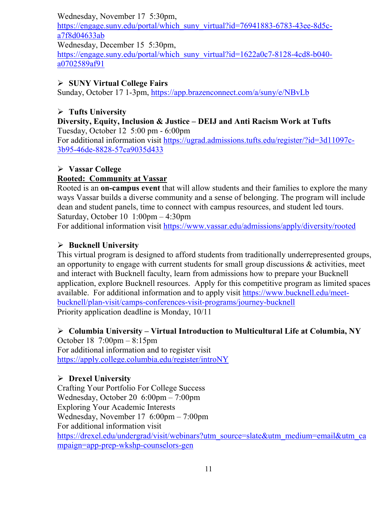Wednesday, November 17 5:30pm,

[https://engage.suny.edu/portal/which\\_suny\\_virtual?id=76941883-6783-43ee-8d5c](https://engage.suny.edu/portal/which_suny_virtual?id=76941883-6783-43ee-8d5c-a7f8d04633ab)[a7f8d04633ab](https://engage.suny.edu/portal/which_suny_virtual?id=76941883-6783-43ee-8d5c-a7f8d04633ab)

Wednesday, December 15 5:30pm,

[https://engage.suny.edu/portal/which\\_suny\\_virtual?id=1622a0c7-8128-4cd8-b040](https://engage.suny.edu/portal/which_suny_virtual?id=1622a0c7-8128-4cd8-b040-a0702589af91) [a0702589af91](https://engage.suny.edu/portal/which_suny_virtual?id=1622a0c7-8128-4cd8-b040-a0702589af91)

#### **SUNY Virtual College Fairs**

Sunday, October 17 1-3pm,<https://app.brazenconnect.com/a/suny/e/NBvLb>

#### **Tufts University**

#### **Diversity, Equity, Inclusion & Justice – DEIJ and Anti Racism Work at Tufts** Tuesday, October 12 5:00 pm - 6:00pm

For additional information visit [https://ugrad.admissions.tufts.edu/register/?id=3d11097c-](https://ugrad.admissions.tufts.edu/register/?id=3d11097c-3b95-46de-8828-57ca9035d433)[3b95-46de-8828-57ca9035d433](https://ugrad.admissions.tufts.edu/register/?id=3d11097c-3b95-46de-8828-57ca9035d433)

#### **Vassar College**

#### **Rooted: Community at Vassar**

Rooted is an **on-campus event** that will allow students and their families to explore the many ways Vassar builds a diverse community and a sense of belonging. The program will include dean and student panels, time to connect with campus resources, and student led tours. Saturday, October 10 1:00pm – 4:30pm

For additional information visit<https://www.vassar.edu/admissions/apply/diversity/rooted>

#### **Bucknell University**

This virtual program is designed to afford students from traditionally underrepresented groups, an opportunity to engage with current students for small group discussions  $\&$  activities, meet and interact with Bucknell faculty, learn from admissions how to prepare your Bucknell application, explore Bucknell resources. Apply for this competitive program as limited spaces available. For additional information and to apply visit [https://www.bucknell.edu/meet](https://www.bucknell.edu/meet-bucknell/plan-visit/camps-conferences-visit-programs/journey-bucknell)[bucknell/plan-visit/camps-conferences-visit-programs/journey-bucknell](https://www.bucknell.edu/meet-bucknell/plan-visit/camps-conferences-visit-programs/journey-bucknell) Priority application deadline is Monday, 10/11

**Columbia University – Virtual Introduction to Multicultural Life at Columbia, NY**

October 18 7:00pm – 8:15pm For additional information and to register visit <https://apply.college.columbia.edu/register/introNY>

#### **Drexel University**

Crafting Your Portfolio For College Success Wednesday, October 20 6:00pm – 7:00pm Exploring Your Academic Interests Wednesday, November 17 6:00pm – 7:00pm For additional information visit [https://drexel.edu/undergrad/visit/webinars?utm\\_source=slate&utm\\_medium=email&utm\\_ca](https://drexel.edu/undergrad/visit/webinars?utm_source=slate&utm_medium=email&utm_campaign=app-prep-wkshp-counselors-gen) [mpaign=app-prep-wkshp-counselors-gen](https://drexel.edu/undergrad/visit/webinars?utm_source=slate&utm_medium=email&utm_campaign=app-prep-wkshp-counselors-gen)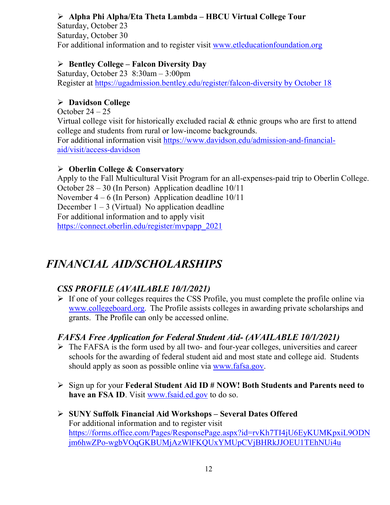### **Alpha Phi Alpha/Eta Theta Lambda – HBCU Virtual College Tour**

Saturday, October 23 Saturday, October 30 For additional information and to register visit [www.etleducationfoundation.org](http://www.etleducationfoundation.org/)

#### **Bentley College – Falcon Diversity Day**

Saturday, October 23 8:30am – 3:00pm Register at [https://ugadmission.bentley.edu/register/falcon-diversity by October 18](https://ugadmission.bentley.edu/register/falcon-diversity%20by%20October%2018)

#### **Davidson College**

October  $24 - 25$ 

Virtual college visit for historically excluded racial & ethnic groups who are first to attend college and students from rural or low-income backgrounds. For additional information visit [https://www.davidson.edu/admission-and-financial](https://www.davidson.edu/admission-and-financial-aid/visit/access-davidson)[aid/visit/access-davidson](https://www.davidson.edu/admission-and-financial-aid/visit/access-davidson)

#### **Oberlin College & Conservatory**

Apply to the Fall Multicultural Visit Program for an all-expenses-paid trip to Oberlin College. October 28 – 30 (In Person) Application deadline 10/11 November 4 – 6 (In Person) Application deadline 10/11 December  $1 - 3$  (Virtual) No application deadline For additional information and to apply visit [https://connect.oberlin.edu/register/mvpapp\\_2021](https://connect.oberlin.edu/register/mvpapp_2021)

# *FINANCIAL AID/SCHOLARSHIPS*

# *CSS PROFILE (AVAILABLE 10/1/2021)*

 $\triangleright$  If one of your colleges requires the CSS Profile, you must complete the profile online via [www.collegeboard.org](http://www.collegeboard.org/). The Profile assists colleges in awarding private scholarships and grants. The Profile can only be accessed online.

#### *FAFSA Free Application for Federal Student Aid- (AVAILABLE 10/1/2021)*

- $\triangleright$  The FAFSA is the form used by all two- and four-year colleges, universities and career schools for the awarding of [federal student aid](http://studentaid.ed.gov/students/publications/student_guide/2010-2011/english/typesofFSA_grants.htm) and most state and college aid. Students should apply as soon as possible online via [www.fafsa.gov.](http://www.fafsa.gov/)
- Sign up for your **Federal Student Aid ID # NOW! Both Students and Parents need to have an FSA ID**. Visit [www.fsaid.ed.gov](http://www.fsaid.ed.gov/) to do so.
- **SUNY Suffolk Financial Aid Workshops – Several Dates Offered** For additional information and to register visit [https://forms.office.com/Pages/ResponsePage.aspx?id=rvKh7TI4jU6EyKUMKpxiL9ODN](https://forms.office.com/Pages/ResponsePage.aspx?id=rvKh7TI4jU6EyKUMKpxiL9ODNjm6hwZPo-wgbVOqGKBUMjAzWlFKQUxYMUpCVjBHRkJJOEU1TEhNUi4u) [jm6hwZPo-wgbVOqGKBUMjAzWlFKQUxYMUpCVjBHRkJJOEU1TEhNUi4u](https://forms.office.com/Pages/ResponsePage.aspx?id=rvKh7TI4jU6EyKUMKpxiL9ODNjm6hwZPo-wgbVOqGKBUMjAzWlFKQUxYMUpCVjBHRkJJOEU1TEhNUi4u)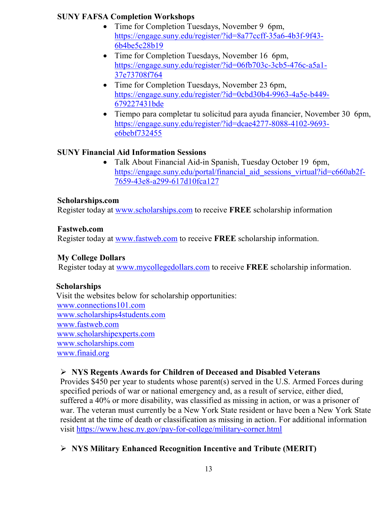#### **SUNY FAFSA Completion Workshops**

- Time for Completion Tuesdays, November 9 6pm, [https://engage.suny.edu/register/?id=8a77ccff-35a6-4b3f-9f43-](https://engage.suny.edu/register/?id=8a77ccff-35a6-4b3f-9f43-6b4be5c28b19) [6b4be5c28b19](https://engage.suny.edu/register/?id=8a77ccff-35a6-4b3f-9f43-6b4be5c28b19)
- Time for Completion Tuesdays, November 16 6pm, [https://engage.suny.edu/register/?id=06fb703c-3cb5-476c-a5a1-](https://engage.suny.edu/register/?id=06fb703c-3cb5-476c-a5a1-37e73708f764) [37e73708f764](https://engage.suny.edu/register/?id=06fb703c-3cb5-476c-a5a1-37e73708f764)
- Time for Completion Tuesdays, November 23 6pm, [https://engage.suny.edu/register/?id=0cbd30b4-9963-4a5e-b449-](https://engage.suny.edu/register/?id=0cbd30b4-9963-4a5e-b449-679227431bde) [679227431bde](https://engage.suny.edu/register/?id=0cbd30b4-9963-4a5e-b449-679227431bde)
- Tiempo para completar tu solicitud para ayuda financier, November 30 6pm, [https://engage.suny.edu/register/?id=dcae4277-8088-4102-9693](https://engage.suny.edu/register/?id=dcae4277-8088-4102-9693-e6bebf732455) [e6bebf732455](https://engage.suny.edu/register/?id=dcae4277-8088-4102-9693-e6bebf732455)

### **SUNY Financial Aid Information Sessions**

• Talk About Financial Aid-in Spanish, Tuesday October 19 6pm, [https://engage.suny.edu/portal/financial\\_aid\\_sessions\\_virtual?id=c660ab2f-](https://engage.suny.edu/portal/financial_aid_sessions_virtual?id=c660ab2f-7659-43e8-a299-617d10fca127)[7659-43e8-a299-617d10fca127](https://engage.suny.edu/portal/financial_aid_sessions_virtual?id=c660ab2f-7659-43e8-a299-617d10fca127) 

#### **Scholarships.com**

Register today at [www.scholarships.com](http://www.scholarships.com/) to receive **FREE** scholarship information

#### **Fastweb.com**

Register today at [www.fastweb.com](http://www.fastweb.com/) to receive **FREE** scholarship information.

#### **My College Dollars**

Register today at [www.mycollegedollars.com](http://www.mycollegedollars.com/) to receive **FREE** scholarship information.

#### **Scholarships**

 Visit the websites below for scholarship opportunities: [www.connections101.com](http://www.connections101.com/) [www.scholarships4students.com](http://www.scholarships4students.com/) [www.fastweb.com](http://www.fastweb.com/) [www.scholarshipexperts.com](http://www.scholarshipexperts.com/) [www.scholarships.com](http://www.scholarships.com/) [www.finaid.org](http://www.finaid.org/)

#### **NYS Regents Awards for Children of Deceased and Disabled Veterans**

Provides \$450 per year to students whose parent(s) served in the U.S. Armed Forces during specified periods of war or national emergency and, as a result of service, either died, suffered a 40% or more disability, was classified as missing in action, or was a prisoner of war. The veteran must currently be a New York State resident or have been a New York State resident at the time of death or classification as missing in action. For additional information visit<https://www.hesc.ny.gov/pay-for-college/military-corner.html>

# **NYS Military Enhanced Recognition Incentive and Tribute (MERIT)**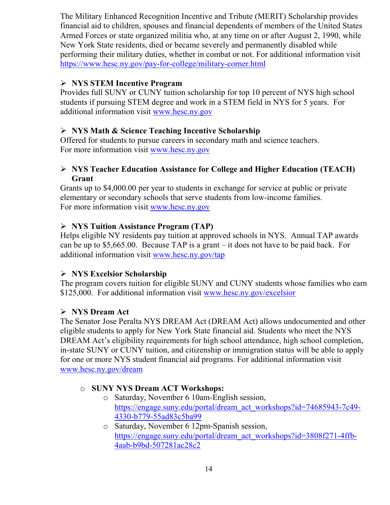The Military Enhanced Recognition Incentive and Tribute (MERIT) Scholarship provides financial aid to children, spouses and financial dependents of members of the United States Armed Forces or state organized militia who, at any time on or after August 2, 1990, while New York State residents, died or became severely and permanently disabled while performing their military duties, whether in combat or not. For additional information visit <https://www.hesc.ny.gov/pay-for-college/military-corner.html>

#### **NYS STEM Incentive Program**

Provides full SUNY or CUNY tuition scholarship for top 10 percent of NYS high school students if pursuing STEM degree and work in a STEM field in NYS for 5 years. For additional information visit [www.hesc.ny.gov](http://www.hesc.ny.gov/)

#### **NYS Math & Science Teaching Incentive Scholarship**

Offered for students to pursue careers in secondary math and science teachers. For more information visit [www.hesc.ny.gov](http://www.hesc.ny.gov/)

#### **NYS Teacher Education Assistance for College and Higher Education (TEACH) Grant**

Grants up to \$4,000.00 per year to students in exchange for service at public or private elementary or secondary schools that serve students from low-income families. For more information visit [www.hesc.ny.gov](http://www.hesc.ny.gov/) 

#### **NYS Tuition Assistance Program (TAP)**

Helps eligible NY residents pay tuition at approved schools in NYS. Annual TAP awards can be up to \$5,665.00. Because TAP is a grant – it does not have to be paid back. For additional information visit [www.hesc.ny.gov/tap](http://www.hesc.ny.gov/tap)

#### **NYS Excelsior Scholarship**

The program covers tuition for eligible SUNY and CUNY students whose families who earn \$125,000. For additional information visit [www.hesc.ny.gov/](http://www.hesc.ny.gov/)excelsior

#### **NYS Dream Act**

The Senator Jose Peralta NYS DREAM Act (DREAM Act) allows undocumented and other eligible students to apply for New York State financial aid. Students who meet the NYS DREAM Act's eligibility requirements for high school attendance, high school completion, in-state SUNY or CUNY tuition, and citizenship or immigration status will be able to apply for one or more NYS student financial aid programs. For additional information visit [www.hesc.ny.gov/dream](http://www.hesc.ny.gov/dream)

#### o **SUNY NYS Dream ACT Workshops:**

- o Saturday, November 6 10am-English session, [https://engage.suny.edu/portal/dream\\_act\\_workshops?id=74685943-7c49-](https://engage.suny.edu/portal/dream_act_workshops?id=74685943-7c49-4330-b779-55ad83c5ba99) [4330-b779-55ad83c5ba99](https://engage.suny.edu/portal/dream_act_workshops?id=74685943-7c49-4330-b779-55ad83c5ba99)
- o Saturday, November 6 12pm-Spanish session, [https://engage.suny.edu/portal/dream\\_act\\_workshops?id=3808f271-4ffb-](https://engage.suny.edu/portal/dream_act_workshops?id=3808f271-4ffb-4aab-b9bd-507281ac28c2)[4aab-b9bd-507281ac28c2](https://engage.suny.edu/portal/dream_act_workshops?id=3808f271-4ffb-4aab-b9bd-507281ac28c2)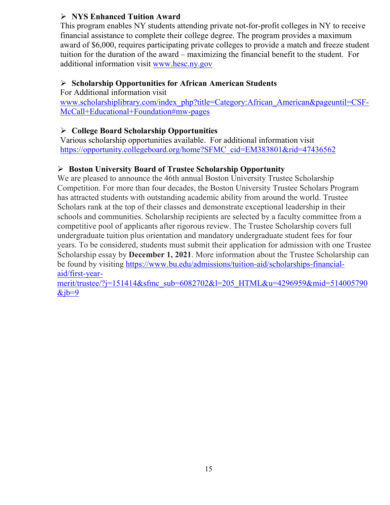### **NYS Enhanced Tuition Award**

This program enables NY students attending private not-for-profit colleges in NY to receive financial assistance to complete their college degree. The program provides a maximum award of \$6,000, requires participating private colleges to provide a match and freeze student tuition for the duration of the award – maximizing the financial benefit to the student. For additional information visit [www.hesc.ny.gov](http://www.hesc.ny.gov/)

#### **Scholarship Opportunities for African American Students**

For Additional information visit

[www.scholarshiplibrary.com/index\\_php?title=Category:African\\_American&pageuntil=CSF-](http://www.scholarshiplibrary.com/index_php?title=Category:African_American&pageuntil=CSF-McCall+Educational+Foundation#mw-pages)[McCall+Educational+Foundation#mw-pages](http://www.scholarshiplibrary.com/index_php?title=Category:African_American&pageuntil=CSF-McCall+Educational+Foundation#mw-pages)

### **College Board Scholarship Opportunities**

Various scholarship opportunities available. For additional information visit [https://opportunity.collegeboard.org/home?SFMC\\_cid=EM383801&rid=47436562](https://opportunity.collegeboard.org/home?SFMC_cid=EM383801&rid=47436562)

### **Boston University Board of Trustee Scholarship Opportunity**

We are pleased to announce the 46th annual Boston University Trustee Scholarship Competition. For more than four decades, the Boston University Trustee Scholars Program has attracted students with outstanding academic ability from around the world. Trustee Scholars rank at the top of their classes and demonstrate exceptional leadership in their schools and communities. Scholarship recipients are selected by a faculty committee from a competitive pool of applicants after rigorous review. The Trustee Scholarship covers full undergraduate tuition plus orientation and mandatory undergraduate student fees for four years. To be considered, students must submit their application for admission with one Trustee Scholarship essay by **December 1, 2021**. More information about the Trustee Scholarship can be found by visiting [https://www.bu.edu/admissions/tuition-aid/scholarships-financial](https://www.bu.edu/admissions/tuition-aid/scholarships-financial-aid/first-year-merit/trustee/?j=151414&sfmc_sub=6082702&l=205_HTML&u=4296959&mid=514005790&jb=9)[aid/first-year-](https://www.bu.edu/admissions/tuition-aid/scholarships-financial-aid/first-year-merit/trustee/?j=151414&sfmc_sub=6082702&l=205_HTML&u=4296959&mid=514005790&jb=9)

[merit/trustee/?j=151414&sfmc\\_sub=6082702&l=205\\_HTML&u=4296959&mid=514005790](https://www.bu.edu/admissions/tuition-aid/scholarships-financial-aid/first-year-merit/trustee/?j=151414&sfmc_sub=6082702&l=205_HTML&u=4296959&mid=514005790&jb=9)  $&ib=9$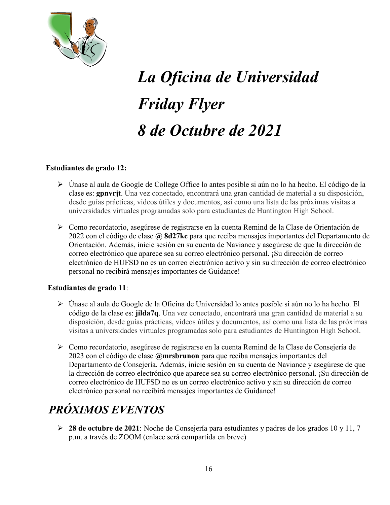

# *La Oficina de Universidad Friday Flyer 8 de Octubre de 2021*

#### **Estudiantes de grado 12:**

- Únase al aula de Google de College Office lo antes posible si aún no lo ha hecho. El código de la clase es: **gpnvrjt**. Una vez conectado, encontrará una gran cantidad de material a su disposición, desde guías prácticas, videos útiles y documentos, así como una lista de las próximas visitas a universidades virtuales programadas solo para estudiantes de Huntington High School.
- Como recordatorio, asegúrese de registrarse en la cuenta Remind de la Clase de Orientación de 2022 con el código de clase **@ 8d27kc** para que reciba mensajes importantes del Departamento de Orientación. Además, inicie sesión en su cuenta de Naviance y asegúrese de que la dirección de correo electrónico que aparece sea su correo electrónico personal. ¡Su dirección de correo electrónico de HUFSD no es un correo electrónico activo y sin su dirección de correo electrónico personal no recibirá mensajes importantes de Guidance!

#### **Estudiantes de grado 11**:

- Únase al aula de Google de la Oficina de Universidad lo antes posible si aún no lo ha hecho. El código de la clase es: **jilda7q**. Una vez conectado, encontrará una gran cantidad de material a su disposición, desde guías prácticas, videos útiles y documentos, así como una lista de las próximas visitas a universidades virtuales programadas solo para estudiantes de Huntington High School.
- Como recordatorio, asegúrese de registrarse en la cuenta Remind de la Clase de Consejería de 2023 con el código de clase **@mrsbrunon** para que reciba mensajes importantes del Departamento de Consejería. Además, inicie sesión en su cuenta de Naviance y asegúrese de que la dirección de correo electrónico que aparece sea su correo electrónico personal. ¡Su dirección de correo electrónico de HUFSD no es un correo electrónico activo y sin su dirección de correo electrónico personal no recibirá mensajes importantes de Guidance!

# *PRÓXIMOS EVENTOS*

 **28 de octubre de 2021**: Noche de Consejería para estudiantes y padres de los grados 10 y 11, 7 p.m. a través de ZOOM (enlace será compartida en breve)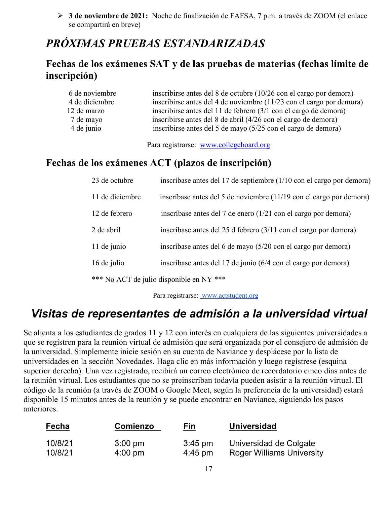**3 de noviembre de 2021:** Noche de finalización de FAFSA, 7 p.m. a través de ZOOM (el enlace se compartirá en breve)

# *PRÓXIMAS PRUEBAS ESTANDARIZADAS*

# **Fechas de los exámenes SAT y de las pruebas de materias (fechas límite de inscripción)**

| 6 de noviembre | inscribirse antes del 8 de octubre $(10/26 \text{ con el cargo por demora})$ |
|----------------|------------------------------------------------------------------------------|
| 4 de diciembre | inscribirse antes del 4 de noviembre (11/23 con el cargo por demora)         |
| 12 de marzo    | inscribirse antes del 11 de febrero (3/1 con el cargo de demora)             |
| 7 de mayo      | inscribirse antes del 8 de abril (4/26 con el cargo de demora)               |
| 4 de junio     | inscribirse antes del 5 de mayo (5/25 con el cargo de demora)                |

Para registrarse: [www.collegeboard.org](http://www.collegeboard.org/)

# **Fechas de los exámenes ACT (plazos de inscripción)**

| 23 de octubre   | inscríbase antes del 17 de septiembre (1/10 con el cargo por demora)       |
|-----------------|----------------------------------------------------------------------------|
| 11 de diciembre | inscríbase antes del 5 de noviembre (11/19 con el cargo por demora)        |
| 12 de febrero   | inscríbase antes del 7 de enero (1/21 con el cargo por demora)             |
| 2 de abril      | inscríbase antes del 25 d febrero $(3/11 \text{ con el cargo por demora})$ |
| 11 de junio     | inscríbase antes del 6 de mayo (5/20 con el cargo por demora)              |
| 16 de julio     | inscríbase antes del 17 de junio (6/4 con el cargo por demora)             |
|                 |                                                                            |

\*\*\* No ACT de julio disponible en NY \*\*\*

Para registrarse: [www.actstudent.org](http://www.actstudent.org/)

# *Visitas de representantes de admisión a la universidad virtual*

Se alienta a los estudiantes de grados 11 y 12 con interés en cualquiera de las siguientes universidades a que se registren para la reunión virtual de admisión que será organizada por el consejero de admisión de la universidad. Simplemente inicie sesión en su cuenta de Naviance y desplácese por la lista de universidades en la sección Novedades. Haga clic en más información y luego regístrese (esquina superior derecha). Una vez registrado, recibirá un correo electrónico de recordatorio cinco días antes de la reunión virtual. Los estudiantes que no se preinscriban todavía pueden asistir a la reunión virtual. El código de la reunión (a través de ZOOM o Google Meet, según la preferencia de la universidad) estará disponible 15 minutos antes de la reunión y se puede encontrar en Naviance, siguiendo los pasos anteriores.

| <b>Fecha</b> | Comienzo          | Fin       | <b>Universidad</b>               |
|--------------|-------------------|-----------|----------------------------------|
| 10/8/21      | $3:00 \text{ pm}$ | $3:45$ pm | Universidad de Colgate           |
| 10/8/21      | $4:00 \text{ pm}$ | $4:45$ pm | <b>Roger Williams University</b> |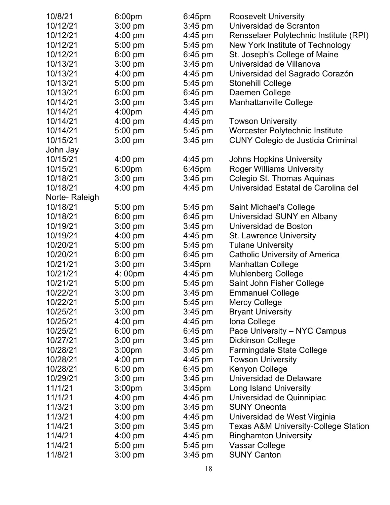| 10/8/21       | 6:00 <sub>pm</sub> | $6:45$ pm          | <b>Roosevelt University</b>                     |
|---------------|--------------------|--------------------|-------------------------------------------------|
| 10/12/21      | $3:00$ pm          | $3:45$ pm          | Universidad de Scranton                         |
| 10/12/21      | 4:00 pm            | $4:45$ pm          | Rensselaer Polytechnic Institute (RPI)          |
| 10/12/21      | 5:00 pm            | $5:45$ pm          | New York Institute of Technology                |
| 10/12/21      | 6:00 pm            | $6:45$ pm          | St. Joseph's College of Maine                   |
| 10/13/21      | $3:00$ pm          | $3:45$ pm          | Universidad de Villanova                        |
| 10/13/21      | 4:00 pm            | $4:45$ pm          | Universidad del Sagrado Corazón                 |
| 10/13/21      | 5:00 pm            | $5:45$ pm          | <b>Stonehill College</b>                        |
| 10/13/21      | $6:00$ pm          | $6:45$ pm          | Daemen College                                  |
| 10/14/21      | $3:00$ pm          | $3:45$ pm          | <b>Manhattanville College</b>                   |
| 10/14/21      | 4:00pm             | 4:45 pm            |                                                 |
| 10/14/21      | 4:00 pm            | $4:45$ pm          | <b>Towson University</b>                        |
| 10/14/21      | 5:00 pm            | 5:45 pm            | Worcester Polytechnic Institute                 |
| 10/15/21      | $3:00$ pm          | $3:45$ pm          | <b>CUNY Colegio de Justicia Criminal</b>        |
| John Jay      |                    |                    |                                                 |
| 10/15/21      | $4:00$ pm          | $4:45$ pm          | <b>Johns Hopkins University</b>                 |
| 10/15/21      | 6:00 <sub>pm</sub> | $6:45$ pm          | <b>Roger Williams University</b>                |
| 10/18/21      | $3:00$ pm          | $3:45$ pm          | Colegio St. Thomas Aquinas                      |
| 10/18/21      | $4:00$ pm          | $4:45$ pm          | Universidad Estatal de Carolina del             |
| Norte-Raleigh |                    |                    |                                                 |
| 10/18/21      | 5:00 pm            | $5:45$ pm          | <b>Saint Michael's College</b>                  |
| 10/18/21      | 6:00 pm            | $6:45$ pm          | Universidad SUNY en Albany                      |
| 10/19/21      | $3:00$ pm          | $3:45$ pm          | Universidad de Boston                           |
| 10/19/21      | 4:00 pm            | 4:45 pm            | <b>St. Lawrence University</b>                  |
| 10/20/21      | 5:00 pm            | 5:45 pm            | <b>Tulane University</b>                        |
| 10/20/21      | $6:00$ pm          | $6:45$ pm          | <b>Catholic University of America</b>           |
| 10/21/21      | $3:00$ pm          | 3:45 <sub>pm</sub> | <b>Manhattan College</b>                        |
| 10/21/21      | 4:00pm             | 4:45 pm            | <b>Muhlenberg College</b>                       |
| 10/21/21      | 5:00 pm            | 5:45 pm            | Saint John Fisher College                       |
| 10/22/21      | $3:00$ pm          | $3:45$ pm          | <b>Emmanuel College</b>                         |
| 10/22/21      | 5:00 pm            | $5:45$ pm          | <b>Mercy College</b>                            |
| 10/25/21      | $3:00$ pm          | $3:45$ pm          | <b>Bryant University</b>                        |
| 10/25/21      | $4:00$ pm          | $4:45$ pm          | Iona College                                    |
| 10/25/21      | $6:00 \text{ pm}$  | $6:45$ pm          | Pace University - NYC Campus                    |
| 10/27/21      | $3:00$ pm          | $3:45$ pm          | <b>Dickinson College</b>                        |
| 10/28/21      | 3:00 <sub>pm</sub> | $3:45$ pm          | <b>Farmingdale State College</b>                |
| 10/28/21      | $4:00$ pm          | 4:45 pm            | <b>Towson University</b>                        |
| 10/28/21      | $6:00 \text{ pm}$  | $6:45$ pm          | Kenyon College                                  |
| 10/29/21      | $3:00$ pm          | $3:45$ pm          | Universidad de Delaware                         |
| 11/1/21       | 3:00 <sub>pm</sub> | 3:45 <sub>pm</sub> | Long Island University                          |
| 11/1/21       | $4:00$ pm          | 4:45 pm            | Universidad de Quinnipiac                       |
| 11/3/21       | $3:00$ pm          | $3:45$ pm          | <b>SUNY Oneonta</b>                             |
| 11/3/21       | 4:00 pm            | 4:45 pm            | Universidad de West Virginia                    |
| 11/4/21       | $3:00$ pm          | $3:45$ pm          | <b>Texas A&amp;M University-College Station</b> |
| 11/4/21       | $4:00$ pm          | 4:45 pm            | <b>Binghamton University</b>                    |
| 11/4/21       | $5:00$ pm          | 5:45 pm            | Vassar College                                  |
| 11/8/21       | $3:00 \text{ pm}$  | $3:45$ pm          | <b>SUNY Canton</b>                              |
|               |                    |                    |                                                 |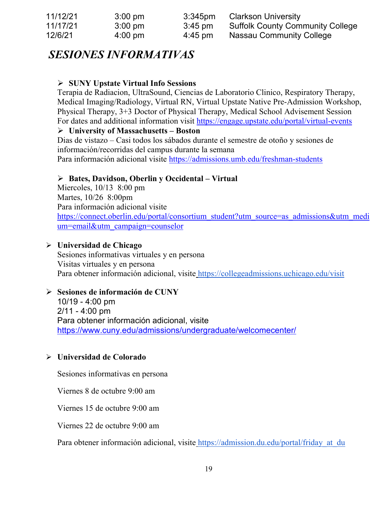| 11/12/21 | $3:00$ pm         | $3:345$ pm        | <b>Clarkson University</b>              |
|----------|-------------------|-------------------|-----------------------------------------|
| 11/17/21 | $3:00$ pm         | $3:45$ pm         | <b>Suffolk County Community College</b> |
| 12/6/21  | $4:00 \text{ pm}$ | $4:45 \text{ pm}$ | Nassau Community College                |

# *SESIONES INFORMATIVAS*

#### **SUNY Upstate Virtual Info Sessions**

Terapia de Radiacion, UltraSound, Ciencias de Laboratorio Clinico, Respiratory Therapy, Medical Imaging/Radiology, Virtual RN, Virtual Upstate Native Pre-Admission Workshop, Physical Therapy, 3+3 Doctor of Physical Therapy, Medical School Advisement Session For dates and additional information visit<https://engage.upstate.edu/portal/virtual-events>

#### **University of Massachusetts – Boston**

Dias de vistazo – Casi todos los sábados durante el semestre de otoño y sesiones de información/recorridas del campus durante la semana Para información adicional visite<https://admissions.umb.edu/freshman-students>

#### **Bates, Davidson, Oberlin y Occidental – Virtual**

Miercoles, 10/13 8:00 pm Martes, 10/26 8:00pm Para información adicional visite [https://connect.oberlin.edu/portal/consortium\\_student?utm\\_source=as\\_admissions&utm\\_medi](https://connect.oberlin.edu/portal/consortium_student?utm_source=as_admissions&utm_medium=email&utm_campaign=counselor) [um=email&utm\\_campaign=counselor](https://connect.oberlin.edu/portal/consortium_student?utm_source=as_admissions&utm_medium=email&utm_campaign=counselor)

#### **Universidad de Chicago**

Sesiones informativas virtuales y en persona Visitas virtuales y en persona Para obtener información adicional, visite <https://collegeadmissions.uchicago.edu/visit>

#### **Sesiones de información de CUNY**

10/19 - 4:00 pm 2/11 - 4:00 pm Para obtener información adicional, visit[e](https://www.cuny.edu/admissions/undergraduate/welcomecenter/) <https://www.cuny.edu/admissions/undergraduate/welcomecenter/>

#### **Universidad de Colorado**

Sesiones informativas en persona

Viernes 8 de octubre 9:00 am

Viernes 15 de octubre 9:00 am

Viernes 22 de octubre 9:00 am

Para obtener información adicional, visite https://admission.du.edu/portal/friday at du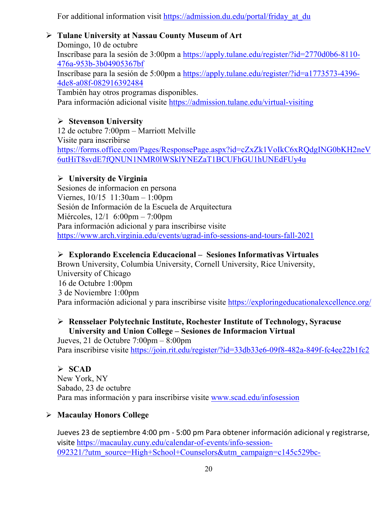For additional information visit https://admission.du.edu/portal/friday at du

#### **Tulane University at Nassau County Museum of Art**

Domingo, 10 de octubre Inscríbase para la sesión de 3:00pm a [https://apply.tulane.edu/register/?id=2770d0b6-8110-](https://apply.tulane.edu/register/?id=2770d0b6-8110-476a-953b-3b04905367bf) [476a-953b-3b04905367bf](https://apply.tulane.edu/register/?id=2770d0b6-8110-476a-953b-3b04905367bf) Inscríbase para la sesión de 5:00pm a [https://apply.tulane.edu/register/?id=a1773573-4396-](https://apply.tulane.edu/register/?id=a1773573-4396-4de8-a08f-082916392484) [4de8-a08f-082916392484](https://apply.tulane.edu/register/?id=a1773573-4396-4de8-a08f-082916392484) También hay otros programas disponibles. Para información adicional visite <https://admission.tulane.edu/virtual-visiting>

#### **Stevenson University**

12 de octubre 7:00pm – Marriott Melville Visite para inscribirse [https://forms.office.com/Pages/ResponsePage.aspx?id=cZxZk1VoIkC6xRQdgING0bKH2neV](https://forms.office.com/Pages/ResponsePage.aspx?id=cZxZk1VoIkC6xRQdgING0bKH2neV6utHiT8svdE7fQNUN1NMR0lWSklYNEZaT1BCUFhGU1hUNEdFUy4u) [6utHiT8svdE7fQNUN1NMR0lWSklYNEZaT1BCUFhGU1hUNEdFUy4u](https://forms.office.com/Pages/ResponsePage.aspx?id=cZxZk1VoIkC6xRQdgING0bKH2neV6utHiT8svdE7fQNUN1NMR0lWSklYNEZaT1BCUFhGU1hUNEdFUy4u)

#### **University de Virginia**

Sesiones de informacion en persona Viernes, 10/15 11:30am – 1:00pm Sesión de Información de la Escuela de Arquitectura Miércoles, 12/1 6:00pm – 7:00pm Para información adicional y para inscribirse visite <https://www.arch.virginia.edu/events/ugrad-info-sessions-and-tours-fall-2021>

### **Explorando Excelencia Educacional – Sesiones Informativas Virtuales**

Brown University, Columbia University, Cornell University, Rice University, University of Chicago 16 de Octubre 1:00pm 3 de Noviembre 1:00pm Para información adicional y para inscribirse visite <https://exploringeducationalexcellence.org/>

#### **Rensselaer Polytechnic Institute, Rochester Institute of Technology, Syracuse University and Union College – Sesiones de Informacion Virtual**

Jueves, 21 de Octubre 7:00pm – 8:00pm Para inscribirse visite<https://join.rit.edu/register/?id=33db33e6-09f8-482a-849f-fc4ee22b1fc2>

#### **SCAD**

New York, NY Sabado, 23 de octubre Para mas información y para inscribirse visite [www.scad.edu/infosession](http://www.scad.edu/infosession)

#### **Macaulay Honors College**

Jueves 23 de septiembre 4:00 pm - 5:00 pm Para obtener información adicional y registrarse, visite [https://macaulay.cuny.edu/calendar-of-events/info-session-](https://macaulay.cuny.edu/calendar-of-events/info-session-092321/?utm_source=High+School+Counselors&utm_campaign=c145c529bc-EMAIL_CAMPAIGN_2019_03_28_06_21_COPY_01&utm_medium=email&utm_term=0_351ca1f759-c145c529bc-75288685)[092321/?utm\\_source=High+School+Counselors&utm\\_campaign=c145c529bc-](https://macaulay.cuny.edu/calendar-of-events/info-session-092321/?utm_source=High+School+Counselors&utm_campaign=c145c529bc-EMAIL_CAMPAIGN_2019_03_28_06_21_COPY_01&utm_medium=email&utm_term=0_351ca1f759-c145c529bc-75288685)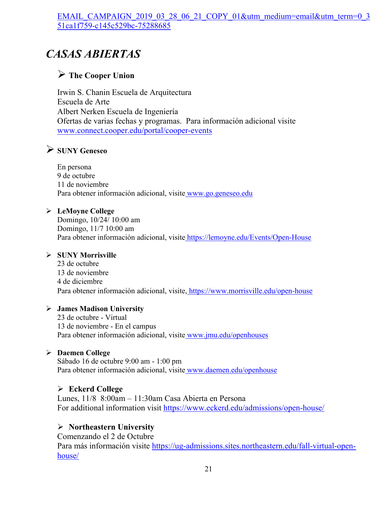#### [EMAIL\\_CAMPAIGN\\_2019\\_03\\_28\\_06\\_21\\_COPY\\_01&utm\\_medium=email&utm\\_term=0\\_3](https://macaulay.cuny.edu/calendar-of-events/info-session-092321/?utm_source=High+School+Counselors&utm_campaign=c145c529bc-EMAIL_CAMPAIGN_2019_03_28_06_21_COPY_01&utm_medium=email&utm_term=0_351ca1f759-c145c529bc-75288685) [51ca1f759-c145c529bc-75288685](https://macaulay.cuny.edu/calendar-of-events/info-session-092321/?utm_source=High+School+Counselors&utm_campaign=c145c529bc-EMAIL_CAMPAIGN_2019_03_28_06_21_COPY_01&utm_medium=email&utm_term=0_351ca1f759-c145c529bc-75288685)

# *CASAS ABIERTAS*

### **The Cooper Union**

Irwin S. Chanin Escuela de Arquitectura Escuela de Arte Albert Nerken Escuela de Ingeniería Ofertas de varias fechas y programas. Para información adicional visite [www.connect.cooper.edu/portal/cooper-events](http://www.connect.cooper.edu/portal/cooper-events)

# **SUNY Geneseo**

En persona 9 de octubre 11 de noviembre Para obtener información adicional, visite [www.go.geneseo.edu](http://www.go.geneseo.edu/)

#### **LeMoyne College**

Domingo, 10/24/ 10:00 am Domingo, 11/7 10:00 am Para obtener información adicional, visite <https://lemoyne.edu/Events/Open-House>

#### **SUNY Morrisville**

23 de octubre 13 de noviembre 4 de diciembre Para obtener información adicional, visite, <https://www.morrisville.edu/open-house>

#### **James Madison University**

23 de octubre - Virtual 13 de noviembre - En el campus Para obtener información adicional, visite [www.jmu.edu/openhouses](http://www.jmu.edu/openhouses)

#### **Daemen College**

Sábado 16 de octubre 9:00 am - 1:00 pm Para obtener información adicional, visite [www.daemen.edu/openhouse](http://www.daemen.edu/openhouse)

#### **Eckerd College**

Lunes, 11/8 8:00am – 11:30am Casa Abierta en Persona For additional information visit<https://www.eckerd.edu/admissions/open-house/>

#### **Northeastern University**

Comenzando el 2 de Octubre Para más información visite [https://ug-admissions.sites.northeastern.edu/fall-virtual-open](https://ug-admissions.sites.northeastern.edu/fall-virtual-open-house/)[house/](https://ug-admissions.sites.northeastern.edu/fall-virtual-open-house/)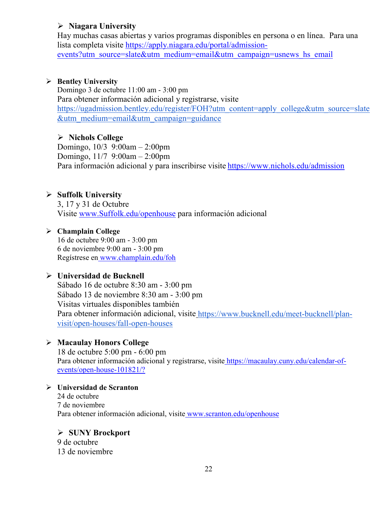#### **Niagara University**

Hay muchas casas abiertas y varios programas disponibles en persona o en línea. Para una lista completa visite [https://apply.niagara.edu/portal/admission](https://apply.niagara.edu/portal/admission-events?utm_source=slate&utm_medium=email&utm_campaign=usnews_hs_email)[events?utm\\_source=slate&utm\\_medium=email&utm\\_campaign=usnews\\_hs\\_email](https://apply.niagara.edu/portal/admission-events?utm_source=slate&utm_medium=email&utm_campaign=usnews_hs_email)

#### **Bentley University**

Domingo 3 de octubre 11:00 am - 3:00 pm Para obtener información adicional y registrarse, visit[e](https://ugadmission.bentley.edu/register/FOH?utm_content=apply_college&utm_source=slate&utm_medium=email&utm_campaign=guidance) [https://ugadmission.bentley.edu/register/FOH?utm\\_content=apply\\_college&utm\\_source=slate](https://ugadmission.bentley.edu/register/FOH?utm_content=apply_college&utm_source=slate&utm_medium=email&utm_campaign=guidance) [&utm\\_medium=email&utm\\_campaign=guidance](https://ugadmission.bentley.edu/register/FOH?utm_content=apply_college&utm_source=slate&utm_medium=email&utm_campaign=guidance)

#### **Nichols College**

Domingo, 10/3 9:00am – 2:00pm Domingo, 11/7 9:00am – 2:00pm Para información adicional y para inscribirse visite https://www.nichols.edu/admission

#### **Suffolk University**

3, 17 y 31 de Octubre Visite [www.Suffolk.edu/openhouse](http://www.suffolk.edu/openhouse) para información adicional

#### **Champlain College**

16 de octubre 9:00 am - 3:00 pm 6 de noviembre 9:00 am - 3:00 pm Regístrese en [www.champlain.edu/foh](http://www.champlain.edu/foh)

#### **Universidad de Bucknell**

Sábado 16 de octubre 8:30 am - 3:00 pm Sábado 13 de noviembre 8:30 am - 3:00 pm Visitas virtuales disponibles también Para obtener información adicional, visite [https://www.bucknell.edu/meet-bucknell/plan](https://www.bucknell.edu/meet-bucknell/plan-visit/open-houses/fall-open-houses)[visit/open-houses/fall-open-houses](https://www.bucknell.edu/meet-bucknell/plan-visit/open-houses/fall-open-houses)

#### **Macaulay Honors College**

18 de octubre 5:00 pm - 6:00 pm Para obtener información adicional y registrarse, visite [https://macaulay.cuny.edu/calendar-of](https://macaulay.cuny.edu/calendar-of-events/open-house-101821/?)[events/open-house-101821/?](https://macaulay.cuny.edu/calendar-of-events/open-house-101821/?)

#### **Universidad de Scranton** 24 de octubre 7 de noviembre Para obtener información adicional, visite [www.scranton.edu/openhouse](http://www.scranton.edu/openhouse)

# **SUNY Brockport**

9 de octubre 13 de noviembre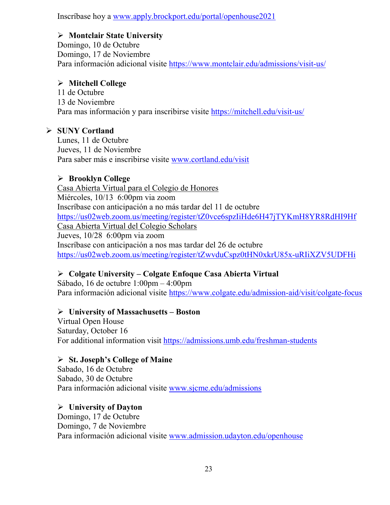Inscríbase hoy a [www.apply.brockport.edu/portal/openhouse2021](http://www.apply.brockport.edu/portal/openhouse2021)

### **Montclair State University**

Domingo, 10 de Octubre Domingo, 17 de Noviembre Para información adicional visite <https://www.montclair.edu/admissions/visit-us/>

#### **Mitchell College**

11 de Octubre 13 de Noviembre Para mas información y para inscribirse visite<https://mitchell.edu/visit-us/>

### **SUNY Cortland**

Lunes, 11 de Octubre Jueves, 11 de Noviembre Para saber más e inscribirse visite [www.cortland.edu/visit](http://www.cortland.edu/visit)

### **Brooklyn College**

Casa Abierta Virtual para el Colegio de Honores Miércoles, 10/13 6:00pm via zoom Inscríbase con anticipación a no más tardar del 11 de octubre <https://us02web.zoom.us/meeting/register/tZ0vce6spzIiHde6H47jTYKmH8YR8RdHI9Hf> Casa Abierta Virtual del Colegio Scholars Jueves, 10/28 6:00pm via zoom Inscríbase con anticipación a nos mas tardar del 26 de octubre <https://us02web.zoom.us/meeting/register/tZwvduCspz0tHN0xkrU85x-uRIiXZV5UDFHi>

# **Colgate University – Colgate Enfoque Casa Abierta Virtual**

Sábado, 16 de octubre 1:00pm – 4:00pm Para información adicional visite <https://www.colgate.edu/admission-aid/visit/colgate-focus>

#### **University of Massachusetts – Boston**

Virtual Open House Saturday, October 16 For additional information visit<https://admissions.umb.edu/freshman-students>

#### **St. Joseph's College of Maine**

Sabado, 16 de Octubre Sabado, 30 de Octubre Para información adicional visite [www.sjcme.edu/admissions](http://www.sjcme.edu/admissions) 

#### **University of Dayton**

Domingo, 17 de Octubre Domingo, 7 de Noviembre Para información adicional visite [www.admission.udayton.edu/openhouse](http://www.admission.udayton.edu/openhouse)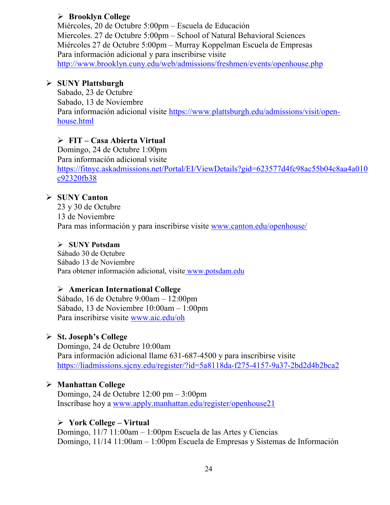#### **Brooklyn College**

Miércoles, 20 de Octubre 5:00pm – Escuela de Educación Miercoles. 27 de Octubre 5:00pm – School of Natural Behavioral Sciences Miércoles 27 de Octubre 5:00pm – Murray Koppelman Escuela de Empresas Para información adicional y para inscribirse visite <http://www.brooklyn.cuny.edu/web/admissions/freshmen/events/openhouse.php>

#### **SUNY Plattsburgh**

Sabado, 23 de Octubre Sabado, 13 de Noviembre Para información adicional visite [https://www.plattsburgh.edu/admissions/visit/open](https://www.plattsburgh.edu/admissions/visit/open-house.html)[house.html](https://www.plattsburgh.edu/admissions/visit/open-house.html)

### **FIT – Casa Abierta Virtual**

Domingo, 24 de Octubre 1:00pm Para información adicional visite [https://fitnyc.askadmissions.net/Portal/EI/ViewDetails?gid=623577d4fc98ac55b04c8aa4a010](https://fitnyc.askadmissions.net/Portal/EI/ViewDetails?gid=623577d4fc98ac55b04c8aa4a010c92320fb38) [c92320fb38](https://fitnyc.askadmissions.net/Portal/EI/ViewDetails?gid=623577d4fc98ac55b04c8aa4a010c92320fb38)

#### **SUNY Canton**

23 y 30 de Octubre 13 de Noviembre Para mas información y para inscribirse visite [www.canton.edu/openhouse/](http://www.canton.edu/openhouse/)

#### **SUNY Potsdam**

Sábado 30 de Octubre Sábado 13 de Noviembre Para obtener información adicional, visite [www.potsdam.edu](http://www.potsdam.edu/)

#### **American International College**

Sábado, 16 de Octubre 9:00am – 12:00pm Sábado, 13 de Noviembre 10:00am – 1:00pm Para inscribirse visite [www.aic.edu/oh](http://www.aic.edu/oh)

#### **St. Joseph's College**

Domingo, 24 de Octubre 10:00am Para información adicional llame 631-687-4500 y para inscribirse visite <https://liadmissions.sjcny.edu/register/?id=5a8118da-f275-4157-9a37-2bd2d4b2bca2>

#### **Manhattan College**

Domingo, 24 de Octubre 12:00 pm – 3:00pm Inscríbase hoy a [www.apply.manhattan.edu/register/openhouse21](http://www.apply.manhattan.edu/register/openhouse21) 

#### **York College – Virtual**

Domingo, 11/7 11:00am – 1:00pm Escuela de las Artes y Ciencias Domingo, 11/14 11:00am – 1:00pm Escuela de Empresas y Sistemas de Información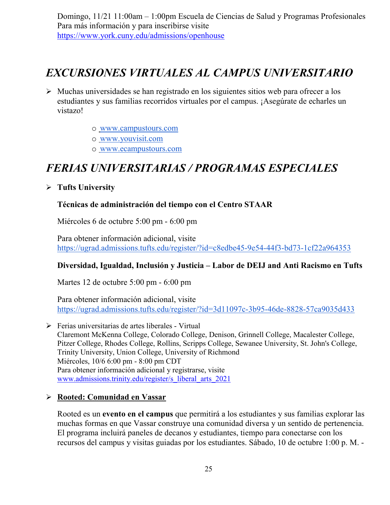Domingo, 11/21 11:00am – 1:00pm Escuela de Ciencias de Salud y Programas Profesionales Para más información y para inscribirse visite <https://www.york.cuny.edu/admissions/openhouse>

# *EXCURSIONES VIRTUALES AL CAMPUS UNIVERSITARIO*

- $\triangleright$  Muchas universidades se han registrado en los siguientes sitios web para ofrecer a los estudiantes y sus familias recorridos virtuales por el campus. ¡Asegúrate de echarles un vistazo!
	- o [www.campustours.com](http://www.campustours.com/)
	- o [www.youvisit.com](http://www.youvisit.com/)
	- o [www.ecampustours.com](http://www.ecampustours.com/)

# *FERIAS UNIVERSITARIAS / PROGRAMAS ESPECIALES*

#### **Tufts University**

#### **Técnicas de administración del tiempo con el Centro STAAR**

Miércoles 6 de octubre 5:00 pm - 6:00 pm

Para obtener información adicional, visit[e](https://ugrad.admissions.tufts.edu/register/?id=c8edbe45-9e54-44f3-bd73-1cf22a964353) <https://ugrad.admissions.tufts.edu/register/?id=c8edbe45-9e54-44f3-bd73-1cf22a964353>

#### **Diversidad, Igualdad, Inclusión y Justicia – Labor de DEIJ and Anti Racismo en Tufts**

Martes 12 de octubre 5:00 pm - 6:00 pm

Para obtener información adicional, visit[e](https://ugrad.admissions.tufts.edu/register/?id=3d11097c-3b95-46de-8828-57ca9035d433) <https://ugrad.admissions.tufts.edu/register/?id=3d11097c-3b95-46de-8828-57ca9035d433>

 Ferias universitarias de artes liberales - Virtual Claremont McKenna College, Colorado College, Denison, Grinnell College, Macalester College, Pitzer College, Rhodes College, Rollins, Scripps College, Sewanee University, St. John's College, Trinity University, Union College, University of Richmond Miércoles, 10/6 6:00 pm - 8:00 pm CDT Para obtener información adicional y registrarse, visite www.admissions.trinity.edu/register/s\_liberal\_arts\_2021

#### **Rooted: Comunidad en Vassar**

Rooted es un **evento en el campus** que permitirá a los estudiantes y sus familias explorar las muchas formas en que Vassar construye una comunidad diversa y un sentido de pertenencia. El programa incluirá paneles de decanos y estudiantes, tiempo para conectarse con los recursos del campus y visitas guiadas por los estudiantes. Sábado, 10 de octubre 1:00 p. M. -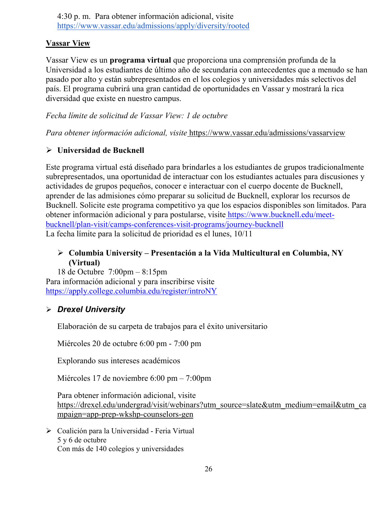4:30 p. m. Para obtener información adicional, visit[e](https://www.vassar.edu/admissions/apply/diversity/rooted) <https://www.vassar.edu/admissions/apply/diversity/rooted>

#### **Vassar View**

Vassar View es un **programa virtual** que proporciona una comprensión profunda de la Universidad a los estudiantes de último año de secundaria con antecedentes que a menudo se han pasado por alto y están subrepresentados en el los colegios y universidades más selectivos del país. El programa cubrirá una gran cantidad de oportunidades en Vassar y mostrará la rica diversidad que existe en nuestro campus.

#### *Fecha límite de solicitud de Vassar View: 1 de octubre*

*Para obtener información adicional, visite* <https://www.vassar.edu/admissions/vassarview>

#### **Universidad de Bucknell**

Este programa virtual está diseñado para brindarles a los estudiantes de grupos tradicionalmente subrepresentados, una oportunidad de interactuar con los estudiantes actuales para discusiones y actividades de grupos pequeños, conocer e interactuar con el cuerpo docente de Bucknell, aprender de las admisiones cómo preparar su solicitud de Bucknell, explorar los recursos de Bucknell. Solicite este programa competitivo ya que los espacios disponibles son limitados. Para obtener información adicional y para postularse, visite [https://www.bucknell.edu/meet](https://www.bucknell.edu/meet-bucknell/plan-visit/camps-conferences-visit-programs/journey-bucknell)[bucknell/plan-visit/camps-conferences-visit-programs/journey-bucknell](https://www.bucknell.edu/meet-bucknell/plan-visit/camps-conferences-visit-programs/journey-bucknell) La fecha límite para la solicitud de prioridad es el lunes, 10/11

### **Columbia University – Presentación a la Vida Multicultural en Columbia, NY (Virtual)**

18 de Octubre 7:00pm – 8:15pm Para información adicional y para inscribirse visite <https://apply.college.columbia.edu/register/introNY>

#### *Drexel University*

Elaboración de su carpeta de trabajos para el éxito universitario

Miércoles 20 de octubre 6:00 pm - 7:00 pm

Explorando sus intereses académicos

Miércoles 17 de noviembre 6:00 pm – 7:00pm

Para obtener información adicional, visit[e](https://drexel.edu/undergrad/visit/webinars?utm_source=slate&utm_medium=email&utm_campaign=app-prep-wkshp-counselors-gen) [https://drexel.edu/undergrad/visit/webinars?utm\\_source=slate&utm\\_medium=email&utm\\_ca](https://drexel.edu/undergrad/visit/webinars?utm_source=slate&utm_medium=email&utm_campaign=app-prep-wkshp-counselors-gen) [mpaign=app-prep-wkshp-counselors-gen](https://drexel.edu/undergrad/visit/webinars?utm_source=slate&utm_medium=email&utm_campaign=app-prep-wkshp-counselors-gen)

 Coalición para la Universidad - Feria Virtual 5 y 6 de octubre Con más de 140 colegios y universidades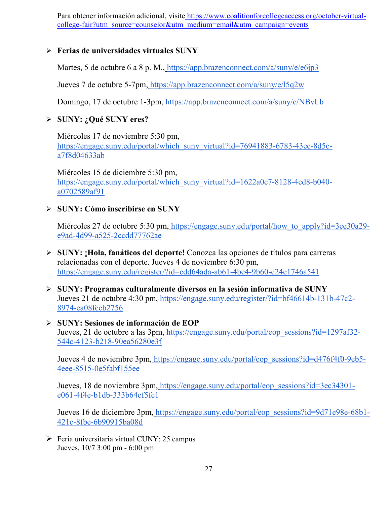Para obtener información adicional, visite [https://www.coalitionforcollegeaccess.org/october-virtual](https://www.coalitionforcollegeaccess.org/october-virtual-college-fair?utm_source=counselor&utm_medium=email&utm_campaign=events)[college-fair?utm\\_source=counselor&utm\\_medium=email&utm\\_campaign=events](https://www.coalitionforcollegeaccess.org/october-virtual-college-fair?utm_source=counselor&utm_medium=email&utm_campaign=events)

#### **Ferias de universidades virtuales SUNY**

Martes, 5 de octubre 6 a 8 p. M., <https://app.brazenconnect.com/a/suny/e/e6jp3>

Jueves 7 de octubre 5-7pm, <https://app.brazenconnect.com/a/suny/e/l5q2w>

Domingo, 17 de octubre 1-3pm, <https://app.brazenconnect.com/a/suny/e/NBvLb>

#### **SUNY: ¿Qué SUNY eres?**

Miércoles 17 de noviembre 5:30 pm[,](https://engage.suny.edu/portal/which_suny_virtual?id=76941883-6783-43ee-8d5c-a7f8d04633ab) [https://engage.suny.edu/portal/which\\_suny\\_virtual?id=76941883-6783-43ee-8d5c](https://engage.suny.edu/portal/which_suny_virtual?id=76941883-6783-43ee-8d5c-a7f8d04633ab)[a7f8d04633ab](https://engage.suny.edu/portal/which_suny_virtual?id=76941883-6783-43ee-8d5c-a7f8d04633ab)

Miércoles 15 de diciembre 5:30 pm[,](https://engage.suny.edu/portal/which_suny_virtual?id=1622a0c7-8128-4cd8-b040-a0702589af91) [https://engage.suny.edu/portal/which\\_suny\\_virtual?id=1622a0c7-8128-4cd8-b040](https://engage.suny.edu/portal/which_suny_virtual?id=1622a0c7-8128-4cd8-b040-a0702589af91) [a0702589af91](https://engage.suny.edu/portal/which_suny_virtual?id=1622a0c7-8128-4cd8-b040-a0702589af91)

#### **SUNY: Cómo inscribirse en SUNY**

Miércoles 27 de octubre 5:30 pm, [https://engage.suny.edu/portal/how\\_to\\_apply?id=3ee30a29](https://engage.suny.edu/portal/how_to_apply?id=3ee30a29-e9ad-4d99-a525-2ccdd77762ae) [e9ad-4d99-a525-2ccdd77762ae](https://engage.suny.edu/portal/how_to_apply?id=3ee30a29-e9ad-4d99-a525-2ccdd77762ae)

- **SUNY: ¡Hola, fanáticos del deporte!** Conozca las opciones de títulos para carreras relacionadas con el deporte. Jueves 4 de noviembre 6:30 pm[,](https://engage.suny.edu/register/?id=cdd64ada-ab61-4be4-9b60-c24c1746a541) <https://engage.suny.edu/register/?id=cdd64ada-ab61-4be4-9b60-c24c1746a541>
- **SUNY: Programas culturalmente diversos en la sesión informativa de SUNY** Jueves 21 de octubre 4:30 pm, [https://engage.suny.edu/register/?id=bf46614b-131b-47c2-](https://engage.suny.edu/register/?id=bf46614b-131b-47c2-8974-ea08fccb2756) [8974-ea08fccb2756](https://engage.suny.edu/register/?id=bf46614b-131b-47c2-8974-ea08fccb2756)
- **SUNY: Sesiones de información de EOP** Jueves, 21 de octubre a las 3pm, [https://engage.suny.edu/portal/eop\\_sessions?id=1297af32-](https://engage.suny.edu/portal/eop_sessions?id=1297af32-544c-4123-b218-90ea56280e3f) [544c-4123-b218-90ea56280e3f](https://engage.suny.edu/portal/eop_sessions?id=1297af32-544c-4123-b218-90ea56280e3f)

Jueves 4 de noviembre 3pm, [https://engage.suny.edu/portal/eop\\_sessions?id=d476f4f0-9eb5-](https://engage.suny.edu/portal/eop_sessions?id=d476f4f0-9eb5-4eee-8515-0e5fabf155ee) [4eee-8515-0e5fabf155ee](https://engage.suny.edu/portal/eop_sessions?id=d476f4f0-9eb5-4eee-8515-0e5fabf155ee)

Jueves, 18 de noviembre 3pm, [https://engage.suny.edu/portal/eop\\_sessions?id=3ec34301](https://engage.suny.edu/portal/eop_sessions?id=3ec34301-e061-4f4e-b1db-333b64ef5fc1) [e061-4f4e-b1db-333b64ef5fc1](https://engage.suny.edu/portal/eop_sessions?id=3ec34301-e061-4f4e-b1db-333b64ef5fc1)

Jueves 16 de diciembre 3pm, [https://engage.suny.edu/portal/eop\\_sessions?id=9d71e98e-68b1-](https://engage.suny.edu/portal/eop_sessions?id=9d71e98e-68b1-421c-8fbe-6b90915ba08d) [421c-8fbe-6b90915ba08d](https://engage.suny.edu/portal/eop_sessions?id=9d71e98e-68b1-421c-8fbe-6b90915ba08d)

 $\triangleright$  Feria universitaria virtual CUNY: 25 campus Jueves, 10/7 3:00 pm - 6:00 pm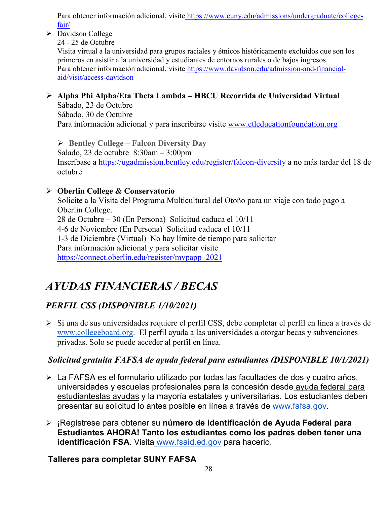Para obtener información adicional, visite [https://www.cuny.edu/admissions/undergraduate/college](https://www.cuny.edu/admissions/undergraduate/college-fair/)[fair/](https://www.cuny.edu/admissions/undergraduate/college-fair/)

Davidson College

24 - 25 de Octubre

Visita virtual a la universidad para grupos raciales y étnicos históricamente excluidos que son los primeros en asistir a la universidad y estudiantes de entornos rurales o de bajos ingresos. Para obtener información adicional, visite [https://www.davidson.edu/admission-and-financial](https://www.davidson.edu/admission-and-financial-aid/visit/access-davidson)[aid/visit/access-davidson](https://www.davidson.edu/admission-and-financial-aid/visit/access-davidson)

# **Alpha Phi Alpha/Eta Theta Lambda – HBCU Recorrida de Universidad Virtual**

Sábado, 23 de Octubre Sábado, 30 de Octubre Para información adicional y para inscribirse visite [www.etleducationfoundation.org](http://www.etleducationfoundation.org/)

 **Bentley College – Falcon Diversity Day** Salado, 23 de octubre 8:30am – 3:00pm Inscríbase a<https://ugadmission.bentley.edu/register/falcon-diversity> a no más tardar del 18 de octubre

# **Oberlin College & Conservatorio**

Solicite a la Visita del Programa Multicultural del Otoño para un viaje con todo pago a Oberlin College. 28 de Octubre – 30 (En Persona) Solicitud caduca el 10/11 4-6 de Noviembre (En Persona) Solicitud caduca el 10/11 1-3 de Diciembre (Virtual) No hay límite de tiempo para solicitar Para información adicional y para solicitar visite [https://connect.oberlin.edu/register/mvpapp\\_2021](https://connect.oberlin.edu/register/mvpapp_2021)

# *AYUDAS FINANCIERAS / BECAS*

# *PERFIL CSS (DISPONIBLE 1/10/2021)*

 Si una de sus universidades requiere el perfil CSS, debe completar el perfil en línea a través d[e](http://www.collegeboard.org/) [www.collegeboard.org](http://www.collegeboard.org/). El perfil ayuda a las universidades a otorgar becas y subvenciones privadas. Solo se puede acceder al perfil en línea.

# *Solicitud gratuita FAFSA de ayuda federal para estudiantes (DISPONIBLE 10/1/2021)*

- La FAFSA es el formulario utilizado por todas las facultades de dos y cuatro años, universidades y escuelas profesionales para la concesión desde [ayuda federal para](http://studentaid.ed.gov/students/publications/student_guide/2010-2011/english/typesofFSA_grants.htm)  [estudianteslas ayudas](http://studentaid.ed.gov/students/publications/student_guide/2010-2011/english/typesofFSA_grants.htm) y la mayoría estatales y universitarias. Los estudiantes deben presentar su solicitud lo antes posible en línea a través de [www.fafsa.gov.](http://www.fafsa.gov/)
- ¡Regístrese para obtener su **número de identificación de Ayuda Federal para Estudiantes AHORA! Tanto los estudiantes como los padres deben tener una identificación FSA**. Visita [www.fsaid.ed.gov](http://www.fsaid.ed.gov/) para hacerlo.

# **Talleres para completar SUNY FAFSA**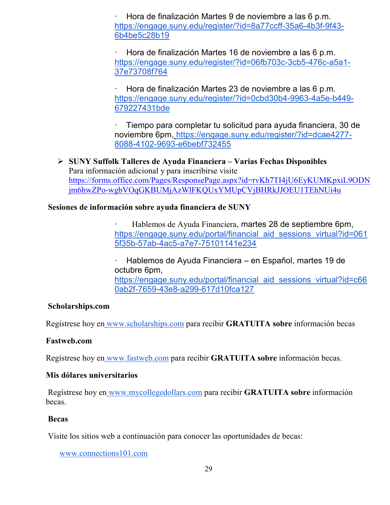· Hora de finalización Martes 9 de noviembre a las 6 p.m[.](https://engage.suny.edu/register/?id=8a77ccff-35a6-4b3f-9f43-6b4be5c28b19) [https://engage.suny.edu/register/?id=8a77ccff-35a6-4b3f-9f43-](https://engage.suny.edu/register/?id=8a77ccff-35a6-4b3f-9f43-6b4be5c28b19) [6b4be5c28b19](https://engage.suny.edu/register/?id=8a77ccff-35a6-4b3f-9f43-6b4be5c28b19)

· Hora de finalización Martes 16 de noviembre a las 6 p.m[.](https://engage.suny.edu/register/?id=06fb703c-3cb5-476c-a5a1-37e73708f764) [https://engage.suny.edu/register/?id=06fb703c-3cb5-476c-a5a1-](https://engage.suny.edu/register/?id=06fb703c-3cb5-476c-a5a1-37e73708f764) [37e73708f764](https://engage.suny.edu/register/?id=06fb703c-3cb5-476c-a5a1-37e73708f764)

· Hora de finalización Martes 23 de noviembre a las 6 p.m[.](https://engage.suny.edu/register/?id=0cbd30b4-9963-4a5e-b449-679227431bde) [https://engage.suny.edu/register/?id=0cbd30b4-9963-4a5e-b449-](https://engage.suny.edu/register/?id=0cbd30b4-9963-4a5e-b449-679227431bde) [679227431bde](https://engage.suny.edu/register/?id=0cbd30b4-9963-4a5e-b449-679227431bde)

· Tiempo para completar tu solicitud para ayuda financiera, 30 de noviembre 6pm, [https://engage.suny.edu/register/?id=dcae4277-](https://engage.suny.edu/register/?id=dcae4277-8088-4102-9693-e6bebf732455) [8088-4102-9693-e6bebf732455](https://engage.suny.edu/register/?id=dcae4277-8088-4102-9693-e6bebf732455)

 **SUNY Suffolk Talleres de Ayuda Financiera – Varias Fechas Disponibles** Para información adicional y para inscribirse visite [https://forms.office.com/Pages/ResponsePage.aspx?id=rvKh7TI4jU6EyKUMKpxiL9ODN](https://forms.office.com/Pages/ResponsePage.aspx?id=rvKh7TI4jU6EyKUMKpxiL9ODNjm6hwZPo-wgbVOqGKBUMjAzWlFKQUxYMUpCVjBHRkJJOEU1TEhNUi4u) [jm6hwZPo-wgbVOqGKBUMjAzWlFKQUxYMUpCVjBHRkJJOEU1TEhNUi4u](https://forms.office.com/Pages/ResponsePage.aspx?id=rvKh7TI4jU6EyKUMKpxiL9ODNjm6hwZPo-wgbVOqGKBUMjAzWlFKQUxYMUpCVjBHRkJJOEU1TEhNUi4u)

#### **Sesiones de información sobre ayuda financiera de SUNY**

· Hablemos de Ayuda Financiera, martes 28 de septiembre 6pm[,](https://engage.suny.edu/portal/financial_aid_sessions_virtual?id=0615f35b-57ab-4ac5-a7e7-75101141e234) [https://engage.suny.edu/portal/financial\\_aid\\_sessions\\_virtual?id=061](https://engage.suny.edu/portal/financial_aid_sessions_virtual?id=0615f35b-57ab-4ac5-a7e7-75101141e234) [5f35b-57ab-4ac5-a7e7-75101141e234](https://engage.suny.edu/portal/financial_aid_sessions_virtual?id=0615f35b-57ab-4ac5-a7e7-75101141e234)

· Hablemos de Ayuda Financiera – [en Español, martes 19 de](https://engage.suny.edu/portal/financial_aid_sessions_virtual?id=c660ab2f-7659-43e8-a299-617d10fca127)  octubre 6pm, [https://engage.suny.edu/portal/financial\\_aid\\_sessions\\_virtual?id=c66](https://engage.suny.edu/portal/financial_aid_sessions_virtual?id=c660ab2f-7659-43e8-a299-617d10fca127) [0ab2f-7659-43e8-a299-617d10fca127](https://engage.suny.edu/portal/financial_aid_sessions_virtual?id=c660ab2f-7659-43e8-a299-617d10fca127)

#### **Scholarships.com**

Regístrese hoy en [www.scholarships.com](http://www.scholarships.com/) para recibir **GRATUITA sobre** información becas

#### **Fastweb.com**

Regístrese hoy en [www.fastweb.com](http://www.fastweb.com/) para recibir **GRATUITA sobre** información becas.

#### **Mis dólares universitarios**

Regístrese hoy en [www.mycollegedollars.com](http://www.mycollegedollars.com/) para recibir **GRATUITA sobre** información becas.

#### **Becas**

Visite los sitios web a continuación para conocer las oportunidades de becas:

[www.connections101.com](http://www.connections101.com/)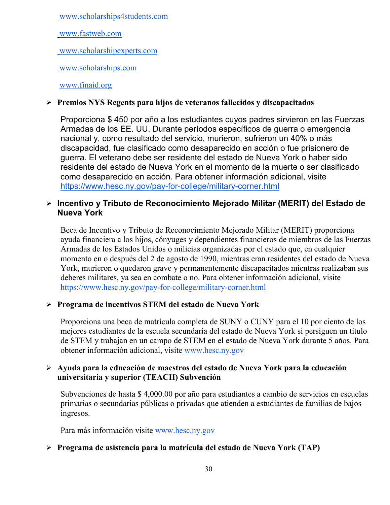[www.scholarships4students.com](http://www.scholarships4students.com/)

[www.fastweb.com](http://www.fastweb.com/)

[www.scholarshipexperts.com](http://www.scholarshipexperts.com/)

[www.scholarships.com](http://www.scholarships.com/)

#### [www.finaid.org](http://www.finaid.org/)

#### **Premios NYS Regents para hijos de veteranos fallecidos y discapacitados**

Proporciona \$ 450 por año a los estudiantes cuyos padres sirvieron en las Fuerzas Armadas de los EE. UU. Durante períodos específicos de guerra o emergencia nacional y, como resultado del servicio, murieron, sufrieron un 40% o más discapacidad, fue clasificado como desaparecido en acción o fue prisionero de guerra. El veterano debe ser residente del estado de Nueva York o haber sido residente del estado de Nueva York en el momento de la muerte o ser c[lasificado](https://www.hesc.ny.gov/pay-for-college/military-corner.html)  como desaparecido en acción. Para obtener información adicional, visite <https://www.hesc.ny.gov/pay-for-college/military-corner.html>

#### **Incentivo y Tributo de Reconocimiento Mejorado Militar (MERIT) del Estado de Nueva York**

Beca de Incentivo y Tributo de Reconocimiento Mejorado Militar (MERIT) proporciona ayuda financiera a los hijos, cónyuges y dependientes financieros de miembros de las Fuerzas Armadas de los Estados Unidos o milicias organizadas por el estado que, en cualquier momento en o después del 2 de agosto de 1990, mientras eran residentes del estado de Nueva York, murieron o quedaron grave y permanentemente discapacitados mientras realizaban sus deberes militares, ya sea en combate o no. Para obtener información adicional, visit[e](https://www.hesc.ny.gov/pay-for-college/military-corner.html) <https://www.hesc.ny.gov/pay-for-college/military-corner.html>

#### **Programa de incentivos STEM del estado de Nueva York**

Proporciona una beca de matrícula completa de SUNY o CUNY para el 10 por ciento de los mejores estudiantes de la escuela secundaria del estado de Nueva York si persiguen un título de STEM y trabajan en un campo de STEM en el estado de Nueva York durante 5 años. Para obtener información adicional, visite [www.hesc.ny.gov](http://www.hesc.ny.gov/)

#### **Ayuda para la educación de maestros del estado de Nueva York para la educación universitaria y superior (TEACH) Subvención**

Subvenciones de hasta \$ 4,000.00 por año para estudiantes a cambio de servicios en escuelas primarias o secundarias públicas o privadas que atienden a estudiantes de familias de bajos ingresos.

Para más información visite [www.hesc.ny.gov](http://www.hesc.ny.gov/) 

#### **Programa de asistencia para la matrícula del estado de Nueva York (TAP)**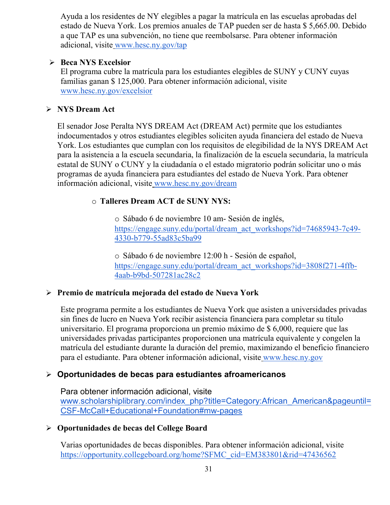Ayuda a los residentes de NY elegibles a pagar la matrícula en las escuelas aprobadas del estado de Nueva York. Los premios anuales de TAP pueden ser de hasta \$ 5,665.00. Debido a que TAP es una subvención, no tiene que reembolsarse. Para obtener información adicional, visite [www.hesc.ny.gov/tap](http://www.hesc.ny.gov/tap)

#### **Beca NYS Excelsior**

El programa cubre la matrícula para los estudiantes elegibles de SUNY y CUNY cuyas familias ganan \$ 125,000. Para obtener información adicional, visit[e](http://www.hesc.ny.gov/) [www.hesc.ny.gov/](http://www.hesc.ny.gov/)excelsior

# **NYS Dream Act**

El senador Jose Peralta NYS DREAM Act (DREAM Act) permite que los estudiantes indocumentados y otros estudiantes elegibles soliciten ayuda financiera del estado de Nueva York. Los estudiantes que cumplan con los requisitos de elegibilidad de la NYS DREAM Act para la asistencia a la escuela secundaria, la finalización de la escuela secundaria, la matrícula estatal de SUNY o CUNY y la ciudadanía o el estado migratorio podrán solicitar uno o más programas de ayuda financiera para estudiantes del estado de Nueva York. Para obtener información adicional, visite [www.hesc.ny.gov/dream](http://www.hesc.ny.gov/dream)

# o **Talleres Dream ACT de SUNY NYS:**

o Sábado 6 de noviembre 10 am- Sesión de inglés[,](https://engage.suny.edu/portal/dream_act_workshops?id=74685943-7c49-4330-b779-55ad83c5ba99) [https://engage.suny.edu/portal/dream\\_act\\_workshops?id=74685943-7c49-](https://engage.suny.edu/portal/dream_act_workshops?id=74685943-7c49-4330-b779-55ad83c5ba99) [4330-b779-55ad83c5ba99](https://engage.suny.edu/portal/dream_act_workshops?id=74685943-7c49-4330-b779-55ad83c5ba99)

o Sábado 6 de noviembre 12:00 h - Sesión de español[,](https://engage.suny.edu/portal/dream_act_workshops?id=3808f271-4ffb-4aab-b9bd-507281ac28c2) [https://engage.suny.edu/portal/dream\\_act\\_workshops?id=3808f271-4ffb-](https://engage.suny.edu/portal/dream_act_workshops?id=3808f271-4ffb-4aab-b9bd-507281ac28c2)[4aab-b9bd-507281ac28c2](https://engage.suny.edu/portal/dream_act_workshops?id=3808f271-4ffb-4aab-b9bd-507281ac28c2)

# **Premio de matrícula mejorada del estado de Nueva York**

Este programa permite a los estudiantes de Nueva York que asisten a universidades privadas sin fines de lucro en Nueva York recibir asistencia financiera para completar su título universitario. El programa proporciona un premio máximo de \$ 6,000, requiere que las universidades privadas participantes proporcionen una matrícula equivalente y congelen la matrícula del estudiante durante la duración del premio, maximizando el beneficio financiero para el estudiante. Para obtener información adicional, visite [www.hesc.ny.gov](http://www.hesc.ny.gov/)

# **Oportunidades de becas para estudiantes afroamericanos**

Para obtener información adicional, visit[e](http://www.scholarshiplibrary.com/index_php?title=Category:African_American&pageuntil=CSF-McCall+Educational+Foundation#mw-pages) [www.scholarshiplibrary.com/index\\_php?title=Category:African\\_American&pageuntil=](http://www.scholarshiplibrary.com/index_php?title=Category:African_American&pageuntil=CSF-McCall+Educational+Foundation#mw-pages) [CSF-McCall+Educational+Foundation#mw-pages](http://www.scholarshiplibrary.com/index_php?title=Category:African_American&pageuntil=CSF-McCall+Educational+Foundation#mw-pages)

# **Oportunidades de becas del College Board**

Varias oportunidades de becas disponibles. Para obtener información adicional, visit[e](https://opportunity.collegeboard.org/home?SFMC_cid=EM383801&rid=47436562) [https://opportunity.collegeboard.org/home?SFMC\\_cid=EM383801&rid=47436562](https://opportunity.collegeboard.org/home?SFMC_cid=EM383801&rid=47436562)